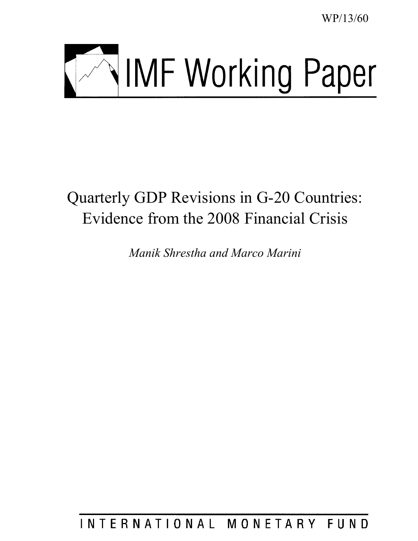WP/13/60



# Quarterly GDP Revisions in G-20 Countries: Evidence from the 2008 Financial Crisis

*Manik Shrestha and Marco Marini* 

INTERNATIONAL MONETARY FUND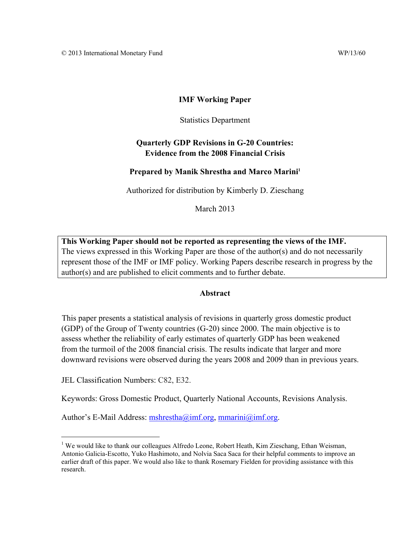# **IMF Working Paper**

Statistics Department

# **Quarterly GDP Revisions in G-20 Countries: Evidence from the 2008 Financial Crisis**

# Prepared by Manik Shrestha and Marco Marini<sup>1</sup>

Authorized for distribution by Kimberly D. Zieschang

March 2013

**This Working Paper should not be reported as representing the views of the IMF.**  The views expressed in this Working Paper are those of the author(s) and do not necessarily represent those of the IMF or IMF policy. Working Papers describe research in progress by the author(s) and are published to elicit comments and to further debate.

# **Abstract**

This paper presents a statistical analysis of revisions in quarterly gross domestic product (GDP) of the Group of Twenty countries (G-20) since 2000. The main objective is to assess whether the reliability of early estimates of quarterly GDP has been weakened from the turmoil of the 2008 financial crisis. The results indicate that larger and more downward revisions were observed during the years 2008 and 2009 than in previous years.

JEL Classification Numbers: C82, E32.

 $\overline{a}$ 

Keywords: Gross Domestic Product, Quarterly National Accounts, Revisions Analysis.

Author's E-Mail Address: mshrestha@imf.org, mmarini@imf.org.

<sup>&</sup>lt;sup>1</sup> We would like to thank our colleagues Alfredo Leone, Robert Heath, Kim Zieschang, Ethan Weisman, Antonio Galicia-Escotto, Yuko Hashimoto, and Nolvia Saca Saca for their helpful comments to improve an earlier draft of this paper. We would also like to thank Rosemary Fielden for providing assistance with this research.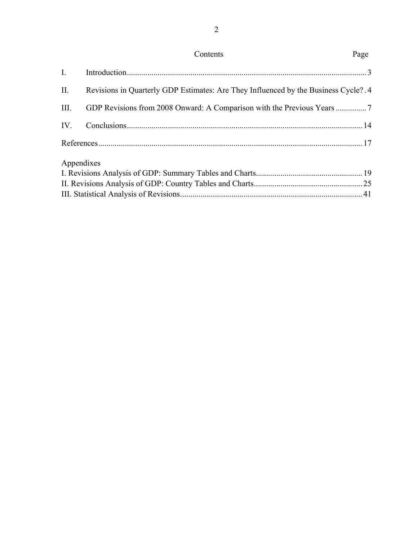| Contents | Page |
|----------|------|
|----------|------|

2

| II.        | Revisions in Quarterly GDP Estimates: Are They Influenced by the Business Cycle? 4 |  |
|------------|------------------------------------------------------------------------------------|--|
| III.       |                                                                                    |  |
|            |                                                                                    |  |
|            |                                                                                    |  |
| Appendixes |                                                                                    |  |
|            |                                                                                    |  |
|            |                                                                                    |  |
|            |                                                                                    |  |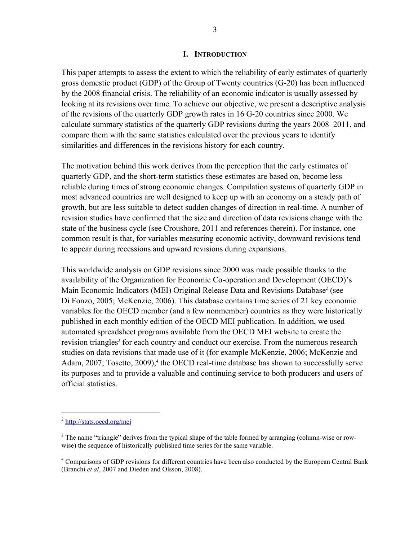## **I. INTRODUCTION**

This paper attempts to assess the extent to which the reliability of early estimates of quarterly gross domestic product (GDP) of the Group of Twenty countries (G-20) has been influenced by the 2008 financial crisis. The reliability of an economic indicator is usually assessed by looking at its revisions over time. To achieve our objective, we present a descriptive analysis of the revisions of the quarterly GDP growth rates in 16 G-20 countries since 2000. We calculate summary statistics of the quarterly GDP revisions during the years 2008–2011, and compare them with the same statistics calculated over the previous years to identify similarities and differences in the revisions history for each country.

The motivation behind this work derives from the perception that the early estimates of quarterly GDP, and the short-term statistics these estimates are based on, become less reliable during times of strong economic changes. Compilation systems of quarterly GDP in most advanced countries are well designed to keep up with an economy on a steady path of growth, but are less suitable to detect sudden changes of direction in real-time. A number of revision studies have confirmed that the size and direction of data revisions change with the state of the business cycle (see Croushore, 2011 and references therein). For instance, one common result is that, for variables measuring economic activity, downward revisions tend to appear during recessions and upward revisions during expansions.

This worldwide analysis on GDP revisions since 2000 was made possible thanks to the availability of the Organization for Economic Co-operation and Development (OECD)'s Main Economic Indicators (MEI) Original Release Data and Revisions Database*<sup>2</sup>* (see Di Fonzo, 2005; McKenzie, 2006). This database contains time series of 21 key economic variables for the OECD member (and a few nonmember) countries as they were historically published in each monthly edition of the OECD MEI publication. In addition, we used automated spreadsheet programs available from the OECD MEI website to create the revision triangles<sup>3</sup> for each country and conduct our exercise. From the numerous research studies on data revisions that made use of it (for example McKenzie, 2006; McKenzie and Adam, 2007; Tosetto, 2009),<sup>4</sup> the OECD real-time database has shown to successfully serve its purposes and to provide a valuable and continuing service to both producers and users of official statistics.

<sup>2</sup> http://stats.oecd.org/mei

 $3$  The name "triangle" derives from the typical shape of the table formed by arranging (column-wise or rowwise) the sequence of historically published time series for the same variable.

<sup>&</sup>lt;sup>4</sup> Comparisons of GDP revisions for different countries have been also conducted by the European Central Bank (Branchi *et al*, 2007 and Dieden and Olsson, 2008).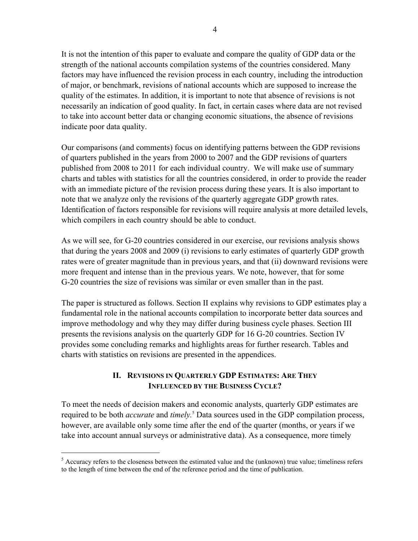It is not the intention of this paper to evaluate and compare the quality of GDP data or the strength of the national accounts compilation systems of the countries considered. Many factors may have influenced the revision process in each country, including the introduction of major, or benchmark, revisions of national accounts which are supposed to increase the quality of the estimates. In addition, it is important to note that absence of revisions is not necessarily an indication of good quality. In fact, in certain cases where data are not revised to take into account better data or changing economic situations, the absence of revisions indicate poor data quality.

Our comparisons (and comments) focus on identifying patterns between the GDP revisions of quarters published in the years from 2000 to 2007 and the GDP revisions of quarters published from 2008 to 2011 for each individual country. We will make use of summary charts and tables with statistics for all the countries considered, in order to provide the reader with an immediate picture of the revision process during these years. It is also important to note that we analyze only the revisions of the quarterly aggregate GDP growth rates. Identification of factors responsible for revisions will require analysis at more detailed levels, which compilers in each country should be able to conduct.

As we will see, for G-20 countries considered in our exercise, our revisions analysis shows that during the years 2008 and 2009 (i) revisions to early estimates of quarterly GDP growth rates were of greater magnitude than in previous years, and that (ii) downward revisions were more frequent and intense than in the previous years. We note, however, that for some G-20 countries the size of revisions was similar or even smaller than in the past.

The paper is structured as follows. Section II explains why revisions to GDP estimates play a fundamental role in the national accounts compilation to incorporate better data sources and improve methodology and why they may differ during business cycle phases. Section III presents the revisions analysis on the quarterly GDP for 16 G-20 countries. Section IV provides some concluding remarks and highlights areas for further research. Tables and charts with statistics on revisions are presented in the appendices.

# **II. REVISIONS IN QUARTERLY GDP ESTIMATES: ARE THEY INFLUENCED BY THE BUSINESS CYCLE?**

To meet the needs of decision makers and economic analysts, quarterly GDP estimates are required to be both *accurate* and *timely*.<sup>5</sup> Data sources used in the GDP compilation process, however, are available only some time after the end of the quarter (months, or years if we take into account annual surveys or administrative data). As a consequence, more timely

1

 $<sup>5</sup>$  Accuracy refers to the closeness between the estimated value and the (unknown) true value; timeliness refers</sup> to the length of time between the end of the reference period and the time of publication.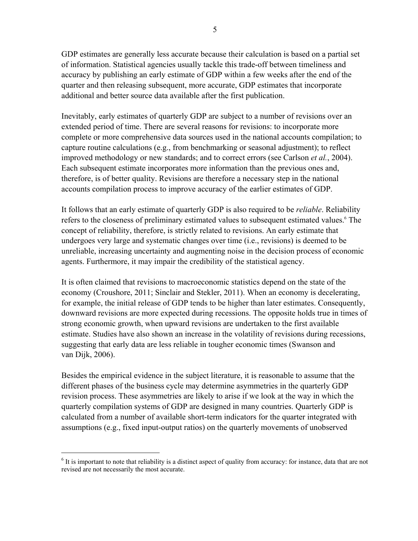GDP estimates are generally less accurate because their calculation is based on a partial set of information. Statistical agencies usually tackle this trade-off between timeliness and accuracy by publishing an early estimate of GDP within a few weeks after the end of the quarter and then releasing subsequent, more accurate, GDP estimates that incorporate additional and better source data available after the first publication.

Inevitably, early estimates of quarterly GDP are subject to a number of revisions over an extended period of time. There are several reasons for revisions: to incorporate more complete or more comprehensive data sources used in the national accounts compilation; to capture routine calculations (e.g., from benchmarking or seasonal adjustment); to reflect improved methodology or new standards; and to correct errors (see Carlson *et al.*, 2004). Each subsequent estimate incorporates more information than the previous ones and, therefore, is of better quality. Revisions are therefore a necessary step in the national accounts compilation process to improve accuracy of the earlier estimates of GDP.

It follows that an early estimate of quarterly GDP is also required to be *reliable*. Reliability refers to the closeness of preliminary estimated values to subsequent estimated values.<sup>6</sup> The concept of reliability, therefore, is strictly related to revisions. An early estimate that undergoes very large and systematic changes over time (i.e., revisions) is deemed to be unreliable, increasing uncertainty and augmenting noise in the decision process of economic agents. Furthermore, it may impair the credibility of the statistical agency.

It is often claimed that revisions to macroeconomic statistics depend on the state of the economy (Croushore, 2011; Sinclair and Stekler, 2011). When an economy is decelerating, for example, the initial release of GDP tends to be higher than later estimates. Consequently, downward revisions are more expected during recessions. The opposite holds true in times of strong economic growth, when upward revisions are undertaken to the first available estimate. Studies have also shown an increase in the volatility of revisions during recessions, suggesting that early data are less reliable in tougher economic times (Swanson and van Dijk, 2006).

Besides the empirical evidence in the subject literature, it is reasonable to assume that the different phases of the business cycle may determine asymmetries in the quarterly GDP revision process. These asymmetries are likely to arise if we look at the way in which the quarterly compilation systems of GDP are designed in many countries. Quarterly GDP is calculated from a number of available short-term indicators for the quarter integrated with assumptions (e.g., fixed input-output ratios) on the quarterly movements of unobserved

 $6$  It is important to note that reliability is a distinct aspect of quality from accuracy: for instance, data that are not revised are not necessarily the most accurate.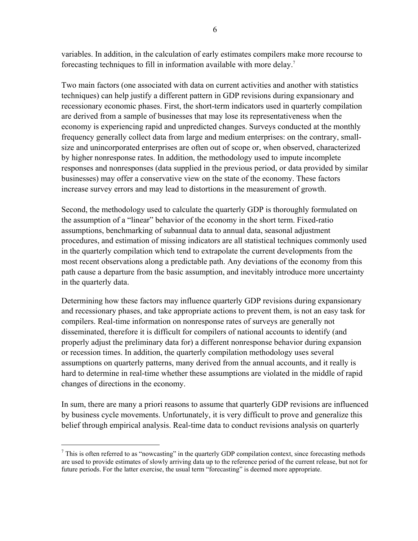variables. In addition, in the calculation of early estimates compilers make more recourse to forecasting techniques to fill in information available with more delay.7

Two main factors (one associated with data on current activities and another with statistics techniques) can help justify a different pattern in GDP revisions during expansionary and recessionary economic phases. First, the short-term indicators used in quarterly compilation are derived from a sample of businesses that may lose its representativeness when the economy is experiencing rapid and unpredicted changes. Surveys conducted at the monthly frequency generally collect data from large and medium enterprises: on the contrary, smallsize and unincorporated enterprises are often out of scope or, when observed, characterized by higher nonresponse rates. In addition, the methodology used to impute incomplete responses and nonresponses (data supplied in the previous period, or data provided by similar businesses) may offer a conservative view on the state of the economy. These factors increase survey errors and may lead to distortions in the measurement of growth.

Second, the methodology used to calculate the quarterly GDP is thoroughly formulated on the assumption of a "linear" behavior of the economy in the short term. Fixed-ratio assumptions, benchmarking of subannual data to annual data, seasonal adjustment procedures, and estimation of missing indicators are all statistical techniques commonly used in the quarterly compilation which tend to extrapolate the current developments from the most recent observations along a predictable path. Any deviations of the economy from this path cause a departure from the basic assumption, and inevitably introduce more uncertainty in the quarterly data.

Determining how these factors may influence quarterly GDP revisions during expansionary and recessionary phases, and take appropriate actions to prevent them, is not an easy task for compilers. Real-time information on nonresponse rates of surveys are generally not disseminated, therefore it is difficult for compilers of national accounts to identify (and properly adjust the preliminary data for) a different nonresponse behavior during expansion or recession times. In addition, the quarterly compilation methodology uses several assumptions on quarterly patterns, many derived from the annual accounts, and it really is hard to determine in real-time whether these assumptions are violated in the middle of rapid changes of directions in the economy.

In sum, there are many a priori reasons to assume that quarterly GDP revisions are influenced by business cycle movements. Unfortunately, it is very difficult to prove and generalize this belief through empirical analysis. Real-time data to conduct revisions analysis on quarterly

 $<sup>7</sup>$  This is often referred to as "nowcasting" in the quarterly GDP compilation context, since forecasting methods</sup> are used to provide estimates of slowly arriving data up to the reference period of the current release, but not for future periods. For the latter exercise, the usual term "forecasting" is deemed more appropriate.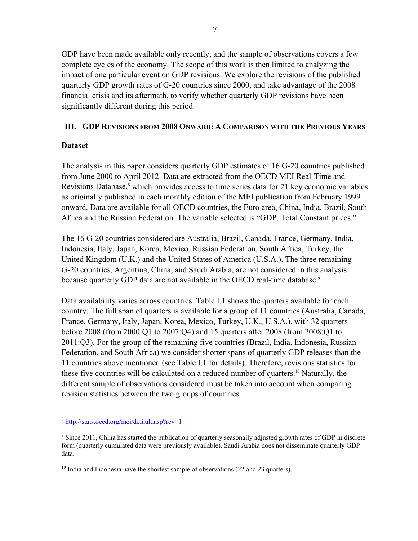GDP have been made available only recently, and the sample of observations covers a few complete cycles of the economy. The scope of this work is then limited to analyzing the impact of one particular event on GDP revisions. We explore the revisions of the published quarterly GDP growth rates of G-20 countries since 2000, and take advantage of the 2008 financial crisis and its aftermath, to verify whether quarterly GDP revisions have been significantly different during this period.

# **III. GDP REVISIONS FROM 2008 ONWARD: A COMPARISON WITH THE PREVIOUS YEARS**

# **Dataset**

The analysis in this paper considers quarterly GDP estimates of 16 G-20 countries published from June 2000 to April 2012. Data are extracted from the OECD MEI Real-Time and Revisions Database,<sup>8</sup> which provides access to time series data for 21 key economic variables as originally published in each monthly edition of the MEI publication from February 1999 onward. Data are available for all OECD countries, the Euro area, China, India, Brazil, South Africa and the Russian Federation. The variable selected is "GDP, Total Constant prices."

The 16 G-20 countries considered are Australia, Brazil, Canada, France, Germany, India, Indonesia, Italy, Japan, Korea, Mexico, Russian Federation, South Africa, Turkey, the United Kingdom (U.K.) and the United States of America (U.S.A.). The three remaining G-20 countries, Argentina, China, and Saudi Arabia, are not considered in this analysis because quarterly GDP data are not available in the OECD real-time database.<sup>9</sup>

Data availability varies across countries. Table I.1 shows the quarters available for each country. The full span of quarters is available for a group of 11 countries (Australia, Canada, France, Germany, Italy, Japan, Korea, Mexico, Turkey, U.K., U.S.A.), with 32 quarters before 2008 (from 2000:Q1 to 2007:Q4) and 15 quarters after 2008 (from 2008:Q1 to 2011:Q3). For the group of the remaining five countries (Brazil, India, Indonesia, Russian Federation, and South Africa) we consider shorter spans of quarterly GDP releases than the 11 countries above mentioned (see Table I.1 for details). Therefore, revisions statistics for these five countries will be calculated on a reduced number of quarters.10 Naturally, the different sample of observations considered must be taken into account when comparing revision statistics between the two groups of countries.

<sup>8</sup> http://stats.oecd.org/mei/default.asp?rev=1

 $9$  Since 2011, China has started the publication of quarterly seasonally adjusted growth rates of GDP in discrete form (quarterly cumulated data were previously available). Saudi Arabia does not disseminate quarterly GDP data.

 $10$  India and Indonesia have the shortest sample of observations (22 and 23 quarters).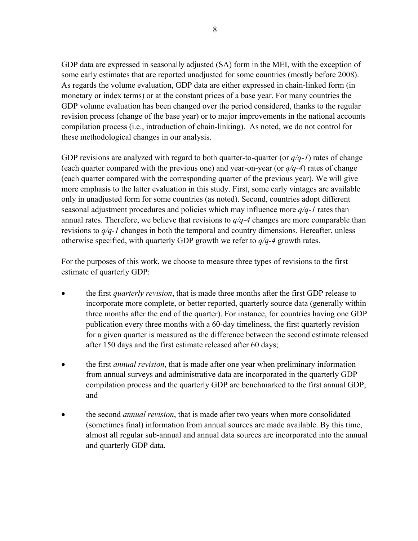GDP data are expressed in seasonally adjusted (SA) form in the MEI, with the exception of some early estimates that are reported unadjusted for some countries (mostly before 2008). As regards the volume evaluation, GDP data are either expressed in chain-linked form (in monetary or index terms) or at the constant prices of a base year. For many countries the GDP volume evaluation has been changed over the period considered, thanks to the regular revision process (change of the base year) or to major improvements in the national accounts compilation process (i.e., introduction of chain-linking). As noted, we do not control for these methodological changes in our analysis.

GDP revisions are analyzed with regard to both quarter-to-quarter (or *q/q-1*) rates of change (each quarter compared with the previous one) and year-on-year (or *q/q-4*) rates of change (each quarter compared with the corresponding quarter of the previous year). We will give more emphasis to the latter evaluation in this study. First, some early vintages are available only in unadjusted form for some countries (as noted). Second, countries adopt different seasonal adjustment procedures and policies which may influence more *q/q-1* rates than annual rates. Therefore, we believe that revisions to *q/q-4* changes are more comparable than revisions to *q/q-1* changes in both the temporal and country dimensions. Hereafter, unless otherwise specified, with quarterly GDP growth we refer to *q/q-4* growth rates.

For the purposes of this work, we choose to measure three types of revisions to the first estimate of quarterly GDP:

- the first *quarterly revision*, that is made three months after the first GDP release to incorporate more complete, or better reported, quarterly source data (generally within three months after the end of the quarter). For instance, for countries having one GDP publication every three months with a 60-day timeliness, the first quarterly revision for a given quarter is measured as the difference between the second estimate released after 150 days and the first estimate released after 60 days;
- the first *annual revision*, that is made after one year when preliminary information from annual surveys and administrative data are incorporated in the quarterly GDP compilation process and the quarterly GDP are benchmarked to the first annual GDP; and
- the second *annual revision*, that is made after two years when more consolidated (sometimes final) information from annual sources are made available. By this time, almost all regular sub-annual and annual data sources are incorporated into the annual and quarterly GDP data.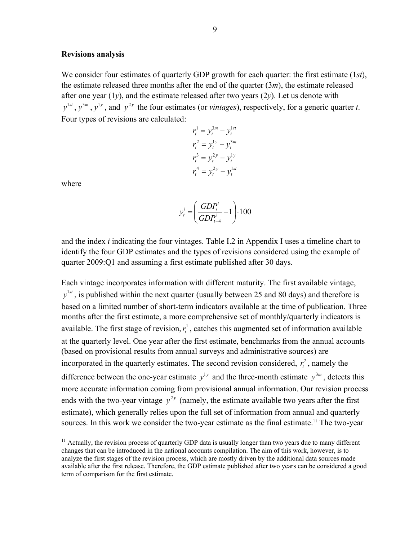## **Revisions analysis**

We consider four estimates of quarterly GDP growth for each quarter: the first estimate (1*st*), the estimate released three months after the end of the quarter (3*m*), the estimate released after one year (1*y*), and the estimate released after two years (2*y*). Let us denote with  $v^{1st}$ ,  $v^{3m}$ ,  $v^{1y}$ , and  $v^{2y}$  the four estimates (or *vintages*), respectively, for a generic quarter *t*. Four types of revisions are calculated:

$$
r_t^1 = y_t^{3m} - y_t^{1st}
$$
  
\n
$$
r_t^2 = y_t^{1y} - y_t^{3m}
$$
  
\n
$$
r_t^3 = y_t^{2y} - y_t^{1y}
$$
  
\n
$$
r_t^4 = y_t^{2y} - y_t^{1st}
$$

where

 $\overline{a}$ 

$$
y_t^i = \left(\frac{GDP_t^i}{GDP_{t-4}^i} - 1\right) \cdot 100
$$

and the index *i* indicating the four vintages. Table I.2 in Appendix I uses a timeline chart to identify the four GDP estimates and the types of revisions considered using the example of quarter 2009:Q1 and assuming a first estimate published after 30 days.

Each vintage incorporates information with different maturity. The first available vintage,  $y$ <sup>1st</sup>, is published within the next quarter (usually between 25 and 80 days) and therefore is based on a limited number of short-term indicators available at the time of publication. Three months after the first estimate, a more comprehensive set of monthly/quarterly indicators is available. The first stage of revision,  $r_t^1$ , catches this augmented set of information available at the quarterly level. One year after the first estimate, benchmarks from the annual accounts (based on provisional results from annual surveys and administrative sources) are incorporated in the quarterly estimates. The second revision considered,  $r_t^2$ , namely the difference between the one-year estimate  $y^{1y}$  and the three-month estimate  $y^{3m}$ , detects this more accurate information coming from provisional annual information. Our revision process ends with the two-year vintage  $y^{2y}$  (namely, the estimate available two years after the first estimate), which generally relies upon the full set of information from annual and quarterly sources. In this work we consider the two-year estimate as the final estimate.<sup>11</sup> The two-year

 $11$  Actually, the revision process of quarterly GDP data is usually longer than two years due to many different changes that can be introduced in the national accounts compilation. The aim of this work, however, is to analyze the first stages of the revision process, which are mostly driven by the additional data sources made available after the first release. Therefore, the GDP estimate published after two years can be considered a good term of comparison for the first estimate.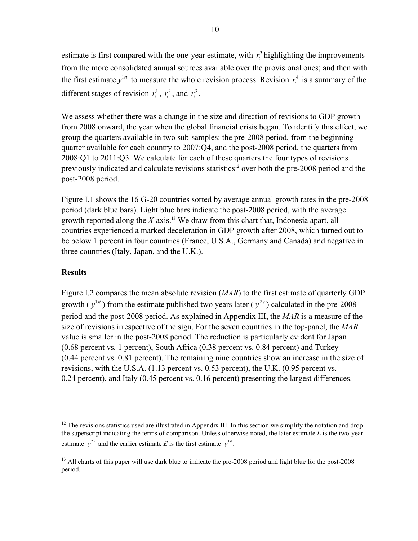estimate is first compared with the one-year estimate, with  $r<sub>i</sub><sup>3</sup>$  highlighting the improvements from the more consolidated annual sources available over the provisional ones; and then with the first estimate  $y^{1st}$  to measure the whole revision process. Revision  $r_t^4$  is a summary of the different stages of revision  $r_t^1$ ,  $r_t^2$ , and  $r_t^3$ .

We assess whether there was a change in the size and direction of revisions to GDP growth from 2008 onward, the year when the global financial crisis began. To identify this effect, we group the quarters available in two sub-samples: the pre-2008 period, from the beginning quarter available for each country to 2007:Q4, and the post-2008 period, the quarters from 2008:Q1 to 2011:Q3. We calculate for each of these quarters the four types of revisions previously indicated and calculate revisions statistics<sup>12</sup> over both the pre-2008 period and the post-2008 period.

Figure I.1 shows the 16 G-20 countries sorted by average annual growth rates in the pre-2008 period (dark blue bars). Light blue bars indicate the post-2008 period, with the average growth reported along the *X*-axis.13 We draw from this chart that, Indonesia apart, all countries experienced a marked deceleration in GDP growth after 2008, which turned out to be below 1 percent in four countries (France, U.S.A., Germany and Canada) and negative in three countries (Italy, Japan, and the U.K.).

## **Results**

 $\overline{a}$ 

Figure I.2 compares the mean absolute revision (*MAR*) to the first estimate of quarterly GDP growth ( $y^{1st}$ ) from the estimate published two years later ( $y^{2y}$ ) calculated in the pre-2008 period and the post-2008 period. As explained in Appendix III, the *MAR* is a measure of the size of revisions irrespective of the sign. For the seven countries in the top-panel, the *MAR* value is smaller in the post-2008 period. The reduction is particularly evident for Japan (0.68 percent vs*.* 1 percent), South Africa (0.38 percent vs. 0.84 percent) and Turkey (0.44 percent vs. 0.81 percent). The remaining nine countries show an increase in the size of revisions, with the U.S.A. (1.13 percent vs. 0.53 percent), the U.K. (0.95 percent vs. 0.24 percent), and Italy (0.45 percent vs. 0.16 percent) presenting the largest differences.

 $12$  The revisions statistics used are illustrated in Appendix III. In this section we simplify the notation and drop the superscript indicating the terms of comparison. Unless otherwise noted, the later estimate *L* is the two-year estimate  $y^{2y}$  and the earlier estimate *E* is the first estimate  $y^{1st}$ .

<sup>&</sup>lt;sup>13</sup> All charts of this paper will use dark blue to indicate the pre-2008 period and light blue for the post-2008 period.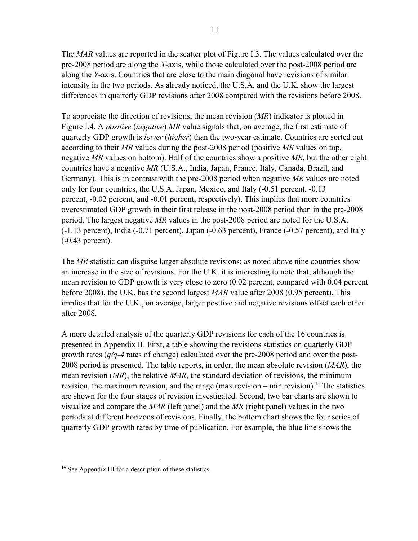The *MAR* values are reported in the scatter plot of Figure I.3. The values calculated over the pre-2008 period are along the *X*-axis, while those calculated over the post-2008 period are along the *Y-*axis. Countries that are close to the main diagonal have revisions of similar intensity in the two periods. As already noticed, the U.S.A. and the U.K. show the largest differences in quarterly GDP revisions after 2008 compared with the revisions before 2008.

To appreciate the direction of revisions, the mean revision (*MR*) indicator is plotted in Figure I.4. A *positive* (*negative*) *MR* value signals that, on average, the first estimate of quarterly GDP growth is *lower* (*higher*) than the two-year estimate. Countries are sorted out according to their *MR* values during the post-2008 period (positive *MR* values on top, negative *MR* values on bottom). Half of the countries show a positive *MR*, but the other eight countries have a negative *MR* (U.S.A., India, Japan, France, Italy, Canada, Brazil, and Germany)*.* This is in contrast with the pre-2008 period when negative *MR* values are noted only for four countries, the U.S.A, Japan, Mexico, and Italy (-0.51 percent, -0.13 percent, -0.02 percent, and -0.01 percent, respectively). This implies that more countries overestimated GDP growth in their first release in the post-2008 period than in the pre-2008 period. The largest negative *MR* values in the post-2008 period are noted for the U.S.A. (-1.13 percent), India (-0.71 percent), Japan (-0.63 percent), France (-0.57 percent), and Italy (-0.43 percent).

The *MR* statistic can disguise larger absolute revisions: as noted above nine countries show an increase in the size of revisions. For the U.K. it is interesting to note that, although the mean revision to GDP growth is very close to zero (0.02 percent, compared with 0.04 percent before 2008), the U.K. has the second largest *MAR* value after 2008 (0.95 percent). This implies that for the U.K., on average, larger positive and negative revisions offset each other after 2008.

A more detailed analysis of the quarterly GDP revisions for each of the 16 countries is presented in Appendix II. First, a table showing the revisions statistics on quarterly GDP growth rates (*q/q-4* rates of change) calculated over the pre-2008 period and over the post-2008 period is presented. The table reports, in order, the mean absolute revision (*MAR*), the mean revision (*MR*), the relative *MAR*, the standard deviation of revisions, the minimum revision, the maximum revision, and the range (max revision – min revision).<sup>14</sup> The statistics are shown for the four stages of revision investigated. Second, two bar charts are shown to visualize and compare the *MAR* (left panel) and the *MR* (right panel) values in the two periods at different horizons of revisions. Finally, the bottom chart shows the four series of quarterly GDP growth rates by time of publication. For example, the blue line shows the

<sup>&</sup>lt;sup>14</sup> See Appendix III for a description of these statistics.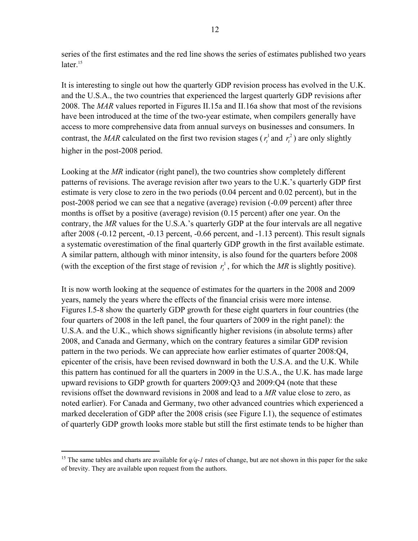series of the first estimates and the red line shows the series of estimates published two years  $later.<sup>15</sup>$ 

It is interesting to single out how the quarterly GDP revision process has evolved in the U.K. and the U.S.A., the two countries that experienced the largest quarterly GDP revisions after 2008. The *MAR* values reported in Figures II.15a and II.16a show that most of the revisions have been introduced at the time of the two-year estimate, when compilers generally have access to more comprehensive data from annual surveys on businesses and consumers. In contrast, the *MAR* calculated on the first two revision stages ( $r_t$ <sup>1</sup> and  $r_t$ <sup>2</sup>) are only slightly higher in the post-2008 period.

Looking at the *MR* indicator (right panel), the two countries show completely different patterns of revisions. The average revision after two years to the U.K.'s quarterly GDP first estimate is very close to zero in the two periods (0.04 percent and 0.02 percent), but in the post-2008 period we can see that a negative (average) revision (-0.09 percent) after three months is offset by a positive (average) revision (0.15 percent) after one year. On the contrary, the *MR* values for the U.S.A.'s quarterly GDP at the four intervals are all negative after 2008 (-0.12 percent, -0.13 percent, -0.66 percent, and -1.13 percent). This result signals a systematic overestimation of the final quarterly GDP growth in the first available estimate. A similar pattern, although with minor intensity, is also found for the quarters before 2008 (with the exception of the first stage of revision  $r_t^1$ , for which the *MR* is slightly positive).

It is now worth looking at the sequence of estimates for the quarters in the 2008 and 2009 years, namely the years where the effects of the financial crisis were more intense. Figures I.5-8 show the quarterly GDP growth for these eight quarters in four countries (the four quarters of 2008 in the left panel, the four quarters of 2009 in the right panel): the U.S.A. and the U.K., which shows significantly higher revisions (in absolute terms) after 2008, and Canada and Germany, which on the contrary features a similar GDP revision pattern in the two periods. We can appreciate how earlier estimates of quarter 2008:Q4, epicenter of the crisis, have been revised downward in both the U.S.A. and the U.K. While this pattern has continued for all the quarters in 2009 in the U.S.A., the U.K. has made large upward revisions to GDP growth for quarters 2009:Q3 and 2009:Q4 (note that these revisions offset the downward revisions in 2008 and lead to a *MR* value close to zero, as noted earlier). For Canada and Germany, two other advanced countries which experienced a marked deceleration of GDP after the 2008 crisis (see Figure I.1), the sequence of estimates of quarterly GDP growth looks more stable but still the first estimate tends to be higher than

<u>.</u>

<sup>&</sup>lt;sup>15</sup> The same tables and charts are available for  $q/q$ -1 rates of change, but are not shown in this paper for the sake of brevity. They are available upon request from the authors.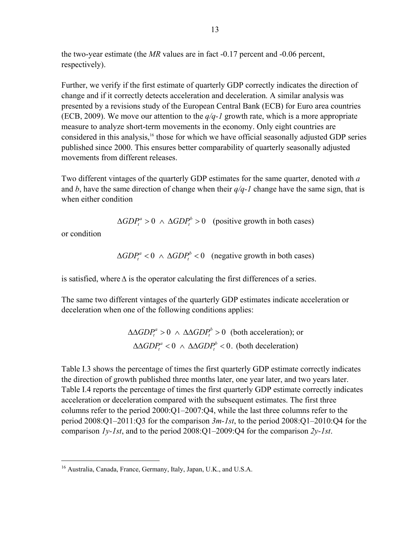the two-year estimate (the *MR* values are in fact -0.17 percent and -0.06 percent, respectively).

Further, we verify if the first estimate of quarterly GDP correctly indicates the direction of change and if it correctly detects acceleration and deceleration. A similar analysis was presented by a revisions study of the European Central Bank (ECB) for Euro area countries (ECB, 2009). We move our attention to the *q/q-1* growth rate, which is a more appropriate measure to analyze short-term movements in the economy. Only eight countries are considered in this analysis,<sup>16</sup> those for which we have official seasonally adjusted GDP series published since 2000. This ensures better comparability of quarterly seasonally adjusted movements from different releases.

Two different vintages of the quarterly GDP estimates for the same quarter, denoted with *a* and *b*, have the same direction of change when their *q/q-1* change have the same sign, that is when either condition

 $\Delta GDP_t^a > 0$   $\wedge \Delta GDP_t^b > 0$  (positive growth in both cases)

or condition

 $\Delta GDP_t^a < 0$   $\wedge \Delta GDP_t^b < 0$  (negative growth in both cases)

is satisfied, where  $\Delta$  is the operator calculating the first differences of a series.

The same two different vintages of the quarterly GDP estimates indicate acceleration or deceleration when one of the following conditions applies:

> $\triangle \triangle GDP^a > 0$   $\wedge \triangle \triangle GDP^b > 0$  (both acceleration); or  $\triangle \triangle GDP_t^a < 0$   $\wedge \triangle AGDP_t^b < 0$ . (both deceleration)

Table I.3 shows the percentage of times the first quarterly GDP estimate correctly indicates the direction of growth published three months later, one year later, and two years later. Table I.4 reports the percentage of times the first quarterly GDP estimate correctly indicates acceleration or deceleration compared with the subsequent estimates. The first three columns refer to the period  $2000:O1-2007:O4$ , while the last three columns refer to the period 2008:Q1–2011:Q3 for the comparison *3m-1st*, to the period 2008:Q1–2010:Q4 for the comparison *1y-1st*, and to the period 2008:Q1–2009:Q4 for the comparison *2y-1st*.

<sup>&</sup>lt;sup>16</sup> Australia, Canada, France, Germany, Italy, Japan, U.K., and U.S.A.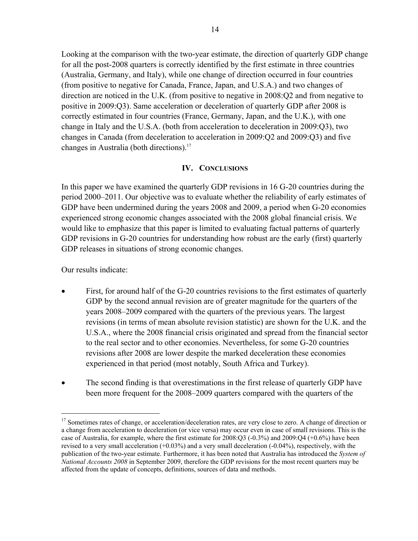Looking at the comparison with the two-year estimate, the direction of quarterly GDP change for all the post-2008 quarters is correctly identified by the first estimate in three countries (Australia, Germany, and Italy), while one change of direction occurred in four countries (from positive to negative for Canada, France, Japan, and U.S.A.) and two changes of direction are noticed in the U.K. (from positive to negative in 2008:Q2 and from negative to positive in 2009:Q3). Same acceleration or deceleration of quarterly GDP after 2008 is correctly estimated in four countries (France, Germany, Japan, and the U.K.), with one change in Italy and the U.S.A. (both from acceleration to deceleration in 2009:Q3), two changes in Canada (from deceleration to acceleration in 2009:Q2 and 2009:Q3) and five changes in Australia (both directions).<sup>17</sup>

# **IV. CONCLUSIONS**

In this paper we have examined the quarterly GDP revisions in 16 G-20 countries during the period 2000–2011. Our objective was to evaluate whether the reliability of early estimates of GDP have been undermined during the years 2008 and 2009, a period when G-20 economies experienced strong economic changes associated with the 2008 global financial crisis. We would like to emphasize that this paper is limited to evaluating factual patterns of quarterly GDP revisions in G-20 countries for understanding how robust are the early (first) quarterly GDP releases in situations of strong economic changes.

Our results indicate:

<u>.</u>

- First, for around half of the G-20 countries revisions to the first estimates of quarterly GDP by the second annual revision are of greater magnitude for the quarters of the years 2008–2009 compared with the quarters of the previous years. The largest revisions (in terms of mean absolute revision statistic) are shown for the U.K. and the U.S.A., where the 2008 financial crisis originated and spread from the financial sector to the real sector and to other economies. Nevertheless, for some G-20 countries revisions after 2008 are lower despite the marked deceleration these economies experienced in that period (most notably, South Africa and Turkey).
- The second finding is that overestimations in the first release of quarterly GDP have been more frequent for the 2008–2009 quarters compared with the quarters of the

<sup>&</sup>lt;sup>17</sup> Sometimes rates of change, or acceleration/deceleration rates, are very close to zero. A change of direction or a change from acceleration to deceleration (or vice versa) may occur even in case of small revisions. This is the case of Australia, for example, where the first estimate for 2008:Q3 (-0.3%) and 2009:Q4 (+0.6%) have been revised to a very small acceleration (+0.03%) and a very small deceleration (-0.04%), respectively, with the publication of the two-year estimate. Furthermore, it has been noted that Australia has introduced the *System of National Accounts 2008* in September 2009, therefore the GDP revisions for the most recent quarters may be affected from the update of concepts, definitions, sources of data and methods.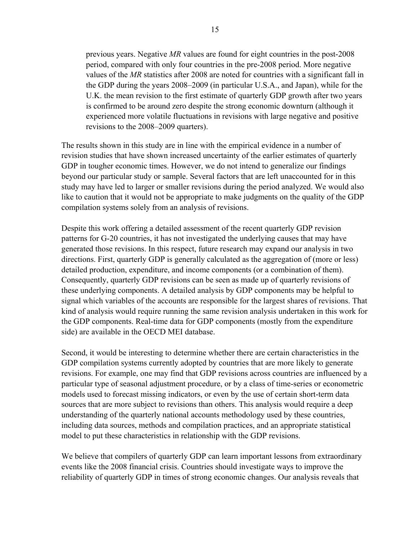previous years. Negative *MR* values are found for eight countries in the post-2008 period, compared with only four countries in the pre-2008 period. More negative values of the *MR* statistics after 2008 are noted for countries with a significant fall in the GDP during the years 2008–2009 (in particular U.S.A., and Japan), while for the U.K. the mean revision to the first estimate of quarterly GDP growth after two years is confirmed to be around zero despite the strong economic downturn (although it experienced more volatile fluctuations in revisions with large negative and positive revisions to the 2008–2009 quarters).

The results shown in this study are in line with the empirical evidence in a number of revision studies that have shown increased uncertainty of the earlier estimates of quarterly GDP in tougher economic times. However, we do not intend to generalize our findings beyond our particular study or sample. Several factors that are left unaccounted for in this study may have led to larger or smaller revisions during the period analyzed. We would also like to caution that it would not be appropriate to make judgments on the quality of the GDP compilation systems solely from an analysis of revisions.

Despite this work offering a detailed assessment of the recent quarterly GDP revision patterns for G-20 countries, it has not investigated the underlying causes that may have generated those revisions. In this respect, future research may expand our analysis in two directions. First, quarterly GDP is generally calculated as the aggregation of (more or less) detailed production, expenditure, and income components (or a combination of them). Consequently, quarterly GDP revisions can be seen as made up of quarterly revisions of these underlying components. A detailed analysis by GDP components may be helpful to signal which variables of the accounts are responsible for the largest shares of revisions. That kind of analysis would require running the same revision analysis undertaken in this work for the GDP components. Real-time data for GDP components (mostly from the expenditure side) are available in the OECD MEI database.

Second, it would be interesting to determine whether there are certain characteristics in the GDP compilation systems currently adopted by countries that are more likely to generate revisions. For example, one may find that GDP revisions across countries are influenced by a particular type of seasonal adjustment procedure, or by a class of time-series or econometric models used to forecast missing indicators, or even by the use of certain short-term data sources that are more subject to revisions than others. This analysis would require a deep understanding of the quarterly national accounts methodology used by these countries, including data sources, methods and compilation practices, and an appropriate statistical model to put these characteristics in relationship with the GDP revisions.

We believe that compilers of quarterly GDP can learn important lessons from extraordinary events like the 2008 financial crisis. Countries should investigate ways to improve the reliability of quarterly GDP in times of strong economic changes. Our analysis reveals that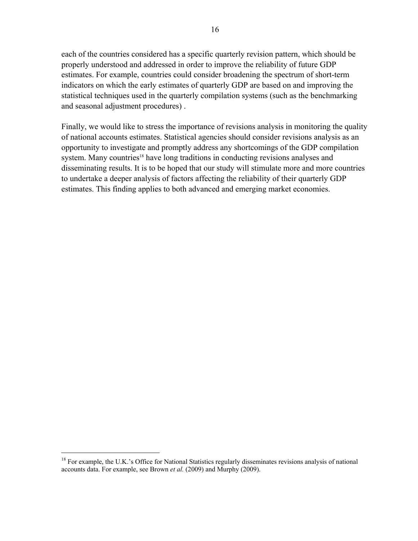each of the countries considered has a specific quarterly revision pattern, which should be properly understood and addressed in order to improve the reliability of future GDP estimates. For example, countries could consider broadening the spectrum of short-term indicators on which the early estimates of quarterly GDP are based on and improving the statistical techniques used in the quarterly compilation systems (such as the benchmarking and seasonal adjustment procedures) .

Finally, we would like to stress the importance of revisions analysis in monitoring the quality of national accounts estimates. Statistical agencies should consider revisions analysis as an opportunity to investigate and promptly address any shortcomings of the GDP compilation system. Many countries<sup>18</sup> have long traditions in conducting revisions analyses and disseminating results. It is to be hoped that our study will stimulate more and more countries to undertake a deeper analysis of factors affecting the reliability of their quarterly GDP estimates. This finding applies to both advanced and emerging market economies.

<sup>&</sup>lt;sup>18</sup> For example, the U.K.'s Office for National Statistics regularly disseminates revisions analysis of national accounts data. For example, see Brown *et al.* (2009) and Murphy (2009).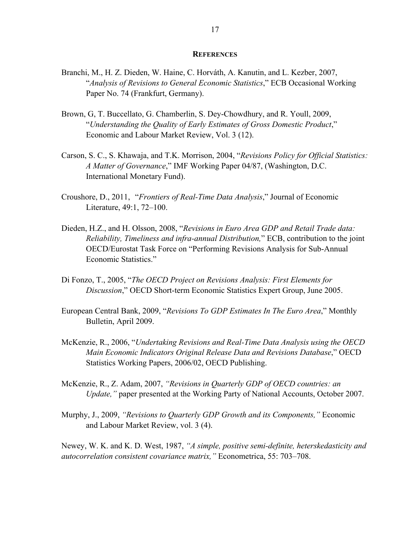#### **REFERENCES**

- Branchi, M., H. Z. Dieden, W. Haine, C. Horváth, A. Kanutin, and L. Kezber, 2007, "*Analysis of Revisions to General Economic Statistics*," ECB Occasional Working Paper No. 74 (Frankfurt, Germany).
- Brown, G, T. Buccellato, G. Chamberlin, S. Dey-Chowdhury, and R. Youll, 2009, "*Understanding the Quality of Early Estimates of Gross Domestic Product*," Economic and Labour Market Review, Vol. 3 (12).
- Carson, S. C., S. Khawaja, and T.K. Morrison, 2004, "*Revisions Policy for Official Statistics: A Matter of Governance*," IMF Working Paper 04/87, (Washington, D.C. International Monetary Fund).
- Croushore, D., 2011, "*Frontiers of Real-Time Data Analysis*," Journal of Economic Literature, 49:1, 72–100.
- Dieden, H.Z., and H. Olsson, 2008, "*Revisions in Euro Area GDP and Retail Trade data: Reliability, Timeliness and infra-annual Distribution,*" ECB, contribution to the joint OECD/Eurostat Task Force on "Performing Revisions Analysis for Sub-Annual Economic Statistics."
- Di Fonzo, T., 2005, "*The OECD Project on Revisions Analysis: First Elements for Discussion*," OECD Short-term Economic Statistics Expert Group, June 2005.
- European Central Bank, 2009, "*Revisions To GDP Estimates In The Euro Area*," Monthly Bulletin, April 2009.
- McKenzie, R., 2006, "*Undertaking Revisions and Real-Time Data Analysis using the OECD Main Economic Indicators Original Release Data and Revisions Database*," OECD Statistics Working Papers, 2006/02, OECD Publishing.
- McKenzie, R., Z. Adam, 2007, *"Revisions in Quarterly GDP of OECD countries: an Update,"* paper presented at the Working Party of National Accounts, October 2007.
- Murphy, J., 2009, *"Revisions to Quarterly GDP Growth and its Components,"* Economic and Labour Market Review, vol. 3 (4).

Newey, W. K. and K. D. West, 1987, *"A simple, positive semi-definite, heterskedasticity and autocorrelation consistent covariance matrix,"* Econometrica, 55: 703–708.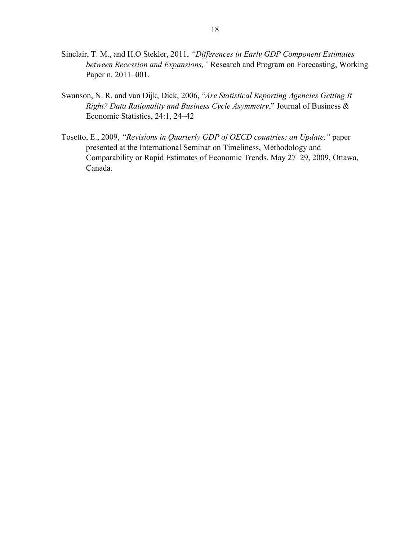- Sinclair, T. M., and H.O Stekler, 2011, *"Differences in Early GDP Component Estimates between Recession and Expansions,"* Research and Program on Forecasting, Working Paper n. 2011–001.
- Swanson, N. R. and van Dijk, Dick, 2006, "*Are Statistical Reporting Agencies Getting It Right? Data Rationality and Business Cycle Asymmetry*," Journal of Business & Economic Statistics, 24:1, 24–42
- Tosetto, E., 2009, *"Revisions in Quarterly GDP of OECD countries: an Update,"* paper presented at the International Seminar on Timeliness, Methodology and Comparability or Rapid Estimates of Economic Trends, May 27–29, 2009, Ottawa, Canada.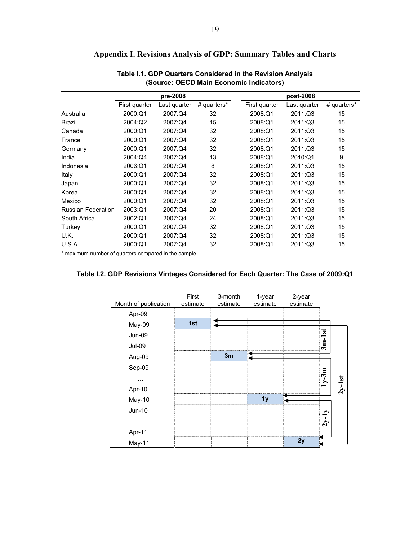|                           |               | pre-2008     |             |               | post-2008    |             |
|---------------------------|---------------|--------------|-------------|---------------|--------------|-------------|
|                           | First quarter | Last quarter | # quarters* | First quarter | Last quarter | # quarters* |
| Australia                 | 2000:Q1       | 2007:Q4      | 32          | 2008:Q1       | 2011:Q3      | 15          |
| <b>Brazil</b>             | 2004:Q2       | 2007:Q4      | 15          | 2008:Q1       | 2011:Q3      | 15          |
| Canada                    | 2000:Q1       | 2007:Q4      | 32          | 2008:Q1       | 2011:Q3      | 15          |
| France                    | 2000:Q1       | 2007:Q4      | 32          | 2008:Q1       | 2011:Q3      | 15          |
| Germany                   | 2000:Q1       | 2007:Q4      | 32          | 2008:Q1       | 2011:Q3      | 15          |
| India                     | 2004:Q4       | 2007:Q4      | 13          | 2008:Q1       | 2010:Q1      | 9           |
| Indonesia                 | 2006:Q1       | 2007:Q4      | 8           | 2008:Q1       | 2011:Q3      | 15          |
| Italy                     | 2000:Q1       | 2007:Q4      | 32          | 2008:Q1       | 2011:Q3      | 15          |
| Japan                     | 2000:Q1       | 2007:Q4      | 32          | 2008:Q1       | 2011:Q3      | 15          |
| Korea                     | 2000:Q1       | 2007:Q4      | 32          | 2008:Q1       | 2011:Q3      | 15          |
| Mexico                    | 2000:Q1       | 2007:Q4      | 32          | 2008:Q1       | 2011:Q3      | 15          |
| <b>Russian Federation</b> | 2003:Q1       | 2007:Q4      | 20          | 2008:Q1       | 2011:Q3      | 15          |
| South Africa              | 2002:Q1       | 2007:Q4      | 24          | 2008:Q1       | 2011:Q3      | 15          |
| Turkey                    | 2000:Q1       | 2007:Q4      | 32          | 2008:Q1       | 2011:Q3      | 15          |
| U.K.                      | 2000:Q1       | 2007:Q4      | 32          | 2008:Q1       | 2011:Q3      | 15          |
| U.S.A.                    | 2000:Q1       | 2007:Q4      | 32          | 2008:Q1       | 2011:Q3      | 15          |

# **Appendix I. Revisions Analysis of GDP: Summary Tables and Charts**

**Table I.1. GDP Quarters Considered in the Revision Analysis (Source: OECD Main Economic Indicators)** 

\* maximum number of quarters compared in the sample

| Month of publication | First<br>estimate | 3-month<br>estimate | 1-year<br>estimate | 2-year<br>estimate |                          |          |
|----------------------|-------------------|---------------------|--------------------|--------------------|--------------------------|----------|
| Apr-09               |                   |                     |                    |                    |                          |          |
| May-09               | 1st               |                     |                    |                    |                          |          |
| <b>Jun-09</b>        |                   |                     |                    |                    |                          |          |
| <b>Jul-09</b>        |                   |                     |                    |                    | $3m-1st$                 |          |
| Aug-09               |                   | 3m                  |                    |                    |                          |          |
| Sep-09               |                   |                     |                    |                    |                          |          |
| .                    |                   |                     |                    |                    | $y-3m$                   |          |
| Apr-10               |                   |                     |                    |                    | $\overline{\phantom{0}}$ | $2y-1st$ |
| May-10               |                   |                     | 1 <sub>y</sub>     |                    |                          |          |
| Jun-10               |                   |                     |                    |                    |                          |          |
| .                    |                   |                     |                    |                    | $2y-1y$                  |          |
| Apr-11               |                   |                     |                    |                    |                          |          |
| May-11               |                   |                     |                    | 2y                 |                          |          |

#### **Table I.2. GDP Revisions Vintages Considered for Each Quarter: The Case of 2009:Q1**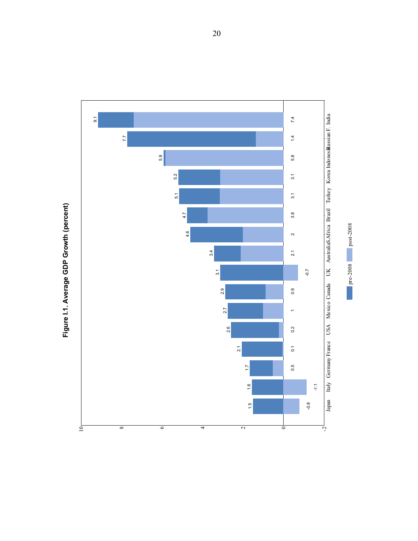

Figure I.1. Average GDP Growth (percent) **Figure I.1. Average GDP Growth (percent)**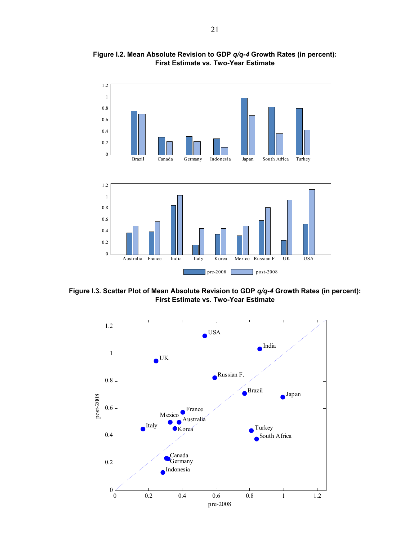

**Figure I.2. Mean Absolute Revision to GDP** *q/q-4* **Growth Rates (in percent): First Estimate vs. Two-Year Estimate** 

**Figure I.3. Scatter Plot of Mean Absolute Revision to GDP** *q/q-4* **Growth Rates (in percent): First Estimate vs. Two-Year Estimate** 

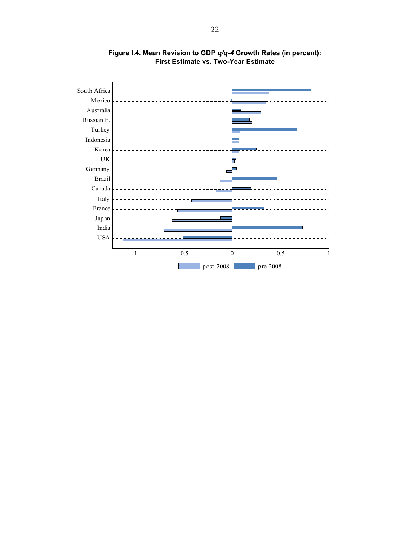

**Figure I.4. Mean Revision to GDP** *q/q-4* **Growth Rates (in percent): First Estimate vs. Two-Year Estimate**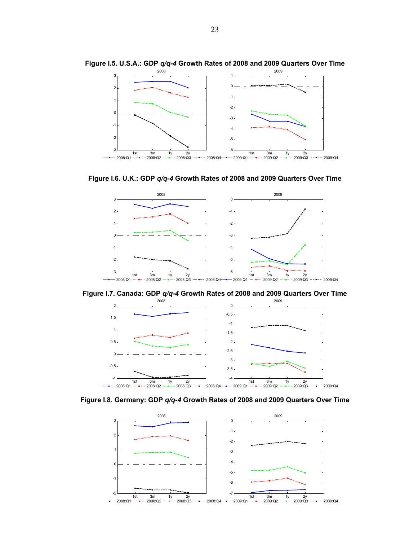

**Figure I.5. U.S.A.: GDP** *q/q-4* **Growth Rates of 2008 and 2009 Quarters Over Time** 

**Figure I.6. U.K.: GDP** *q/q-4* **Growth Rates of 2008 and 2009 Quarters Over Time** 



**Figure I.7. Canada: GDP** *q/q-4* **Growth Rates of 2008 and 2009 Quarters Over Time** 



**Figure I.8. Germany: GDP** *q/q-4* **Growth Rates of 2008 and 2009 Quarters Over Time** 

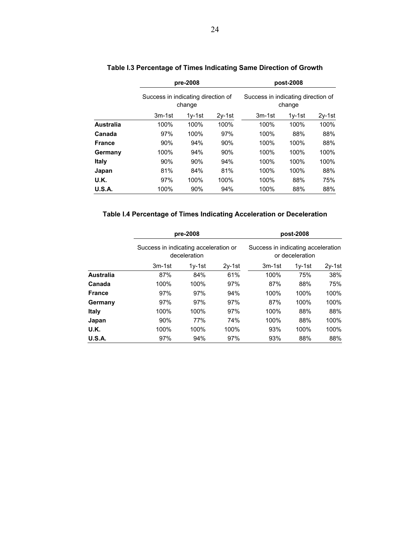|               |                                    | pre-2008 |          |                                              | post-2008 |      |  |  |  |
|---------------|------------------------------------|----------|----------|----------------------------------------------|-----------|------|--|--|--|
|               | Success in indicating direction of | change   |          | Success in indicating direction of<br>change |           |      |  |  |  |
|               | $3m-1st$                           | $1v-1st$ | $3m-1st$ | $1v-1st$                                     | $2v-1st$  |      |  |  |  |
| Australia     | 100%                               | 100%     | 100%     | 100%                                         | 100%      | 100% |  |  |  |
| Canada        | 97%                                | 100%     | 97%      | 100%                                         | 88%       | 88%  |  |  |  |
| <b>France</b> | 90%                                | 94%      | 90%      | 100%                                         | 100%      | 88%  |  |  |  |
| Germany       | 100%                               | 94%      | 90%      | 100%                                         | 100%      | 100% |  |  |  |
| Italy         | 90%                                | 90%      | 94%      | 100%                                         | 100%      | 100% |  |  |  |
| Japan         | 81%                                | 84%      | 81%      | 100%                                         | 100%      | 88%  |  |  |  |
| U.K.          | 97%                                | 100%     | 100%     | 100%                                         | 88%       | 75%  |  |  |  |
| <b>U.S.A.</b> | 100%                               | 90%      | 94%      | 100%                                         | 88%       | 88%  |  |  |  |

# **Table I.3 Percentage of Times Indicating Same Direction of Growth**

# **Table I.4 Percentage of Times Indicating Acceleration or Deceleration**

|                  |                                       | pre-2008     |          | post-2008                                             |          |          |  |  |  |
|------------------|---------------------------------------|--------------|----------|-------------------------------------------------------|----------|----------|--|--|--|
|                  | Success in indicating acceleration or | deceleration |          | Success in indicating acceleration<br>or deceleration |          |          |  |  |  |
|                  | $3m-1st$                              | $1v-1st$     | $2y-1st$ | $3m-1st$                                              | $1v-1st$ | $2v-1st$ |  |  |  |
| <b>Australia</b> | 87%                                   | 84%          | 61%      | 100%                                                  | 75%      | 38%      |  |  |  |
| Canada           | 100%                                  | 100%         | 97%      | 87%                                                   | 88%      | 75%      |  |  |  |
| <b>France</b>    | 97%                                   | 97%          | 94%      | 100%                                                  | 100%     | 100%     |  |  |  |
| Germany          | 97%                                   | 97%          | 97%      | 87%                                                   | 100%     | 100%     |  |  |  |
| Italy            | 100%                                  | 100%         | 97%      | 100%                                                  | 88%      | 88%      |  |  |  |
| Japan            | 90%                                   | 77%          | 74%      | 100%                                                  | 88%      | 100%     |  |  |  |
| U.K.             | 100%                                  | 100%         | 100%     | 93%                                                   | 100%     | 100%     |  |  |  |
| U.S.A.           | 97%                                   | 94%          | 97%      | 93%                                                   | 88%      | 88%      |  |  |  |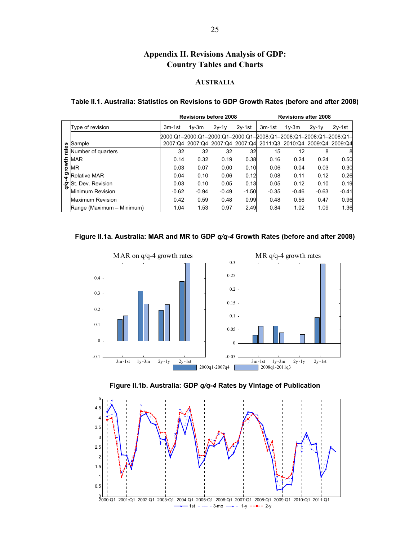# **Appendix II. Revisions Analysis of GDP: Country Tables and Charts**

## **AUSTRALIA**

#### **Table II.1. Australia: Statistics on Revisions to GDP Growth Rates (before and after 2008)**

|        |                           |                                                                  | <b>Revisions before 2008</b> |         |          | <b>Revisions after 2008</b>                                     |         |         |          |
|--------|---------------------------|------------------------------------------------------------------|------------------------------|---------|----------|-----------------------------------------------------------------|---------|---------|----------|
|        | Type of revision          | 3m-1st                                                           | $1v-3m$                      | $2y-1y$ | $2v-1st$ | 3m-1st                                                          | $1v-3m$ | $2v-1v$ | $2v-1st$ |
|        |                           | 2000:Q1-2000:Q1-2000:Q1-2000:Q1-2008:Q1-2008:Q1-2008:Q1-2008:Q1- |                              |         |          |                                                                 |         |         |          |
|        | Sample                    |                                                                  |                              |         |          | 2007:Q4 2007:Q4 2007:Q4 2007:Q4 2011:Q3 2010:Q4 2009:Q4 2009:Q4 |         |         |          |
| rates  | Number of quarters        | 32                                                               | 32                           | 32      | 32       | 15                                                              | 12      | 8       | 8        |
|        | <b>MAR</b>                | 0.14                                                             | 0.32                         | 0.19    | 0.38     | 0.16                                                            | 0.24    | 0.24    | 0.50     |
| growth | MR                        | 0.03                                                             | 0.07                         | 0.00    | 0.10     | 0.06                                                            | 0.04    | 0.03    | 0.30     |
| 4      | <b>Relative MAR</b>       | 0.04                                                             | 0.10                         | 0.06    | 0.12     | 0.08                                                            | 0.11    | 0.12    | 0.26     |
| δ      | St. Dev. Revision         | 0.03                                                             | 0.10                         | 0.05    | 0.13     | 0.05                                                            | 0.12    | 0.10    | 0.19     |
|        | <b>Minimum Revision</b>   | $-0.62$                                                          | $-0.94$                      | $-0.49$ | $-1.50$  | $-0.35$                                                         | $-0.46$ | $-0.63$ | $-0.41$  |
|        | Maximum Revision          | 0.42                                                             | 0.59                         | 0.48    | 0.99     | 0.48                                                            | 0.56    | 0.47    | 0.96     |
|        | Range (Maximum - Minimum) | 1.04                                                             | 1.53                         | 0.97    | 2.49     | 0.84                                                            | 1.02    | 1.09    | 1.36     |

## **Figure II.1a. Australia: MAR and MR to GDP** *q/q-4* **Growth Rates (before and after 2008)**





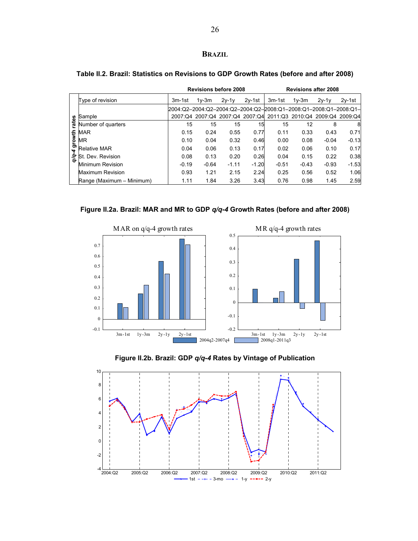## **BRAZIL**

|        |                           |                                                                   | <b>Revisions before 2008</b> |         |          |         |         | <b>Revisions after 2008</b>                                     |          |
|--------|---------------------------|-------------------------------------------------------------------|------------------------------|---------|----------|---------|---------|-----------------------------------------------------------------|----------|
|        | Type of revision          | 3m-1st                                                            | $1v-3m$                      | $2v-1v$ | $2v-1st$ | 3m-1st  | $1v-3m$ | $2v-1v$                                                         | $2v-1st$ |
|        |                           | l2004:Q2-2004:Q2-2004:Q2-2004:Q2-2008:Q1-2008:Q1-2008:Q1-2008:Q1- |                              |         |          |         |         |                                                                 |          |
| ΘS     | Sample                    |                                                                   |                              |         |          |         |         | 2007:Q4 2007:Q4 2007:Q4 2007:Q4 2011:Q3 2010:Q4 2009:Q4 2009:Q4 |          |
| tā     | Number of quarters        | 15                                                                | 15                           | 15      | 15       | 15      | 12      | 8                                                               | 8        |
|        | MAR                       | 0.15                                                              | 0.24                         | 0.55    | 0.77     | 0.11    | 0.33    | 0.43                                                            | 0.71     |
| growth | ΜR                        | 0.10                                                              | 0.04                         | 0.32    | 0.46     | 0.00    | 0.08    | $-0.04$                                                         | $-0.13$  |
| 4      | <b>Relative MAR</b>       | 0.04                                                              | 0.06                         | 0.13    | 0.17     | 0.02    | 0.06    | 0.10                                                            | 0.17     |
| হ      | St. Dev. Revision         | 0.08                                                              | 0.13                         | 0.20    | 0.26     | 0.04    | 0.15    | 0.22                                                            | 0.38     |
|        | Minimum Revision          | $-0.19$                                                           | $-0.64$                      | $-1.11$ | $-1.20$  | $-0.51$ | $-0.43$ | $-0.93$                                                         | $-1.53$  |
|        | <b>Maximum Revision</b>   | 0.93                                                              | 1.21                         | 2.15    | 2.24     | 0.25    | 0.56    | 0.52                                                            | 1.06     |
|        | Range (Maximum - Minimum) | 1.11                                                              | 1.84                         | 3.26    | 3.43     | 0.76    | 0.98    | 1.45                                                            | 2.59     |

## **Table II.2. Brazil: Statistics on Revisions to GDP Growth Rates (before and after 2008)**







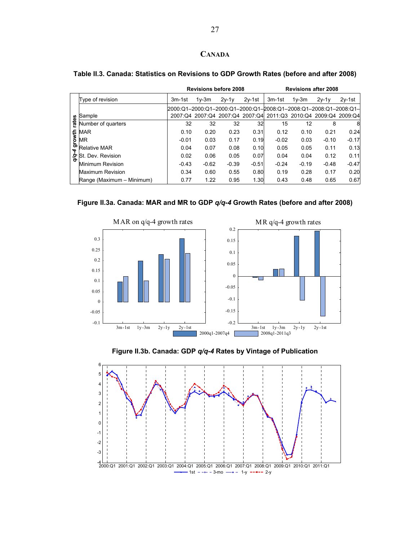## **CANADA**

|                |                                                              |                                                                   | <b>Revisions before 2008</b> |         |          |                                                                 | <b>Revisions after 2008</b> |         |          |
|----------------|--------------------------------------------------------------|-------------------------------------------------------------------|------------------------------|---------|----------|-----------------------------------------------------------------|-----------------------------|---------|----------|
|                | Type of revision                                             | 3m-1st                                                            | $1v-3m$                      | $2v-1v$ | $2v-1st$ | $3m-1st$                                                        | $1v-3m$                     | $2v-1v$ | $2v-1st$ |
|                | Sample                                                       | l2000:Q1-2000:Q1-2000:Q1-2000:Q1-2008:Q1-2008:Q1-2008:Q1-2008:Q1- |                              |         |          | 2007:Q4 2007:Q4 2007:Q4 2007:Q4 2011:Q3 2010:Q4 2009:Q4 2009:Q4 |                             |         |          |
| rates          | Number of quarters                                           | 32                                                                | 32                           | 32      | 32       | 15                                                              | 12                          | 8       | 8        |
|                |                                                              | 0.10                                                              | 0.20                         | 0.23    | 0.31     | 0.12                                                            | 0.10                        | 0.21    | 0.24     |
|                | $\frac{1}{2}$ MAR<br>$\frac{1}{2}$ MR<br>$\frac{1}{2}$ Relat | $-0.01$                                                           | 0.03                         | 0.17    | 0.19     | $-0.02$                                                         | 0.03                        | $-0.10$ | $-0.17$  |
| $\overline{r}$ | <b>Relative MAR</b>                                          | 0.04                                                              | 0.07                         | 0.08    | 0.10     | 0.05                                                            | 0.05                        | 0.11    | 0.13     |
|                | St. Dev. Revision                                            | 0.02                                                              | 0.06                         | 0.05    | 0.07     | 0.04                                                            | 0.04                        | 0.12    | 0.11     |
|                | Minimum Revision                                             | $-0.43$                                                           | $-0.62$                      | $-0.39$ | $-0.51$  | $-0.24$                                                         | $-0.19$                     | $-0.48$ | $-0.47$  |
|                | Maximum Revision                                             | 0.34                                                              | 0.60                         | 0.55    | 0.80     | 0.19                                                            | 0.28                        | 0.17    | 0.20     |
|                | Range (Maximum - Minimum)                                    | 0.77                                                              | 1.22                         | 0.95    | 1.30     | 0.43                                                            | 0.48                        | 0.65    | 0.67     |

## **Table II.3. Canada: Statistics on Revisions to GDP Growth Rates (before and after 2008)**







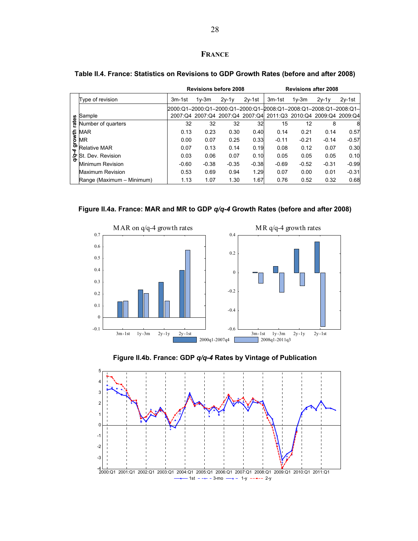## **FRANCE**

|        |                           |                                                                   | <b>Revisions before 2008</b> |         |          |         |         | <b>Revisions after 2008</b>                                     |          |
|--------|---------------------------|-------------------------------------------------------------------|------------------------------|---------|----------|---------|---------|-----------------------------------------------------------------|----------|
|        | Type of revision          | 3m-1st                                                            | $1v-3m$                      | $2v-1v$ | $2v-1st$ | 3m-1st  | $1v-3m$ | $2v-1v$                                                         | $2v-1st$ |
|        |                           | l2000:Q1-2000:Q1-2000:Q1-2000:Q1-2008:Q1-2008:Q1-2008:Q1-2008:Q1- |                              |         |          |         |         |                                                                 |          |
|        | Sample                    |                                                                   |                              |         |          |         |         | 2007:Q4 2007:Q4 2007:Q4 2007:Q4 2011:Q3 2010:Q4 2009:Q4 2009:Q4 |          |
| rates  | Number of quarters        | 32                                                                | 32                           | 32      | 32       | 15      | 12      | 8                                                               | 8        |
|        | MAR                       | 0.13                                                              | 0.23                         | 0.30    | 0.40     | 0.14    | 0.21    | 0.14                                                            | 0.57     |
| growth | MR                        | 0.00                                                              | 0.07                         | 0.25    | 0.33     | $-0.11$ | $-0.21$ | $-0.14$                                                         | $-0.57$  |
| 4      | <b>Relative MAR</b>       | 0.07                                                              | 0.13                         | 0.14    | 0.19     | 0.08    | 0.12    | 0.07                                                            | 0.30     |
| Ş      | Dev. Revision<br>St.      | 0.03                                                              | 0.06                         | 0.07    | 0.10     | 0.05    | 0.05    | 0.05                                                            | 0.10     |
|        | Minimum Revision          | $-0.60$                                                           | $-0.38$                      | $-0.35$ | $-0.38$  | $-0.69$ | $-0.52$ | $-0.31$                                                         | $-0.99$  |
|        | Maximum Revision          | 0.53                                                              | 0.69                         | 0.94    | 1.29     | 0.07    | 0.00    | 0.01                                                            | $-0.31$  |
|        | Range (Maximum - Minimum) | 1.13                                                              | 1.07                         | 1.30    | 1.67     | 0.76    | 0.52    | 0.32                                                            | 0.68     |

## **Table II.4. France: Statistics on Revisions to GDP Growth Rates (before and after 2008)**







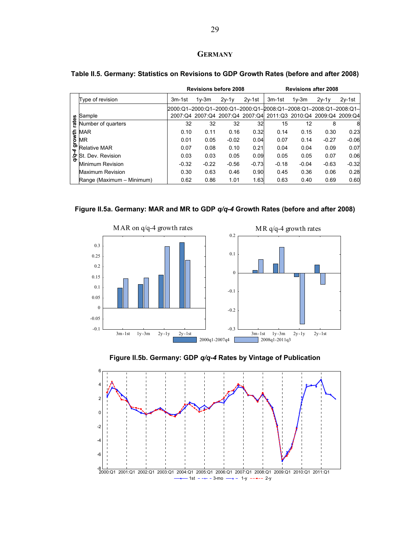## **GERMANY**

|        |                           |                                                                   | <b>Revisions before 2008</b> |         |          |                                                                 | <b>Revisions after 2008</b> |         |          |
|--------|---------------------------|-------------------------------------------------------------------|------------------------------|---------|----------|-----------------------------------------------------------------|-----------------------------|---------|----------|
|        | Type of revision          | 3m-1st                                                            | $1v-3m$                      | $2v-1v$ | $2v-1st$ | 3m-1st                                                          | $1v-3m$                     | $2v-1v$ | $2v-1st$ |
|        |                           | l2000:Q1-2000:Q1-2000:Q1-2000:Q1-2008:Q1-2008:Q1-2008:Q1-2008:Q1- |                              |         |          |                                                                 |                             |         |          |
|        | Sample                    |                                                                   |                              |         |          | 2007:Q4 2007:Q4 2007:Q4 2007:Q4 2011:Q3 2010:Q4 2009:Q4 2009:Q4 |                             |         |          |
| rates  | Number of quarters        | 32                                                                | 32                           | 32      | 32       | 15                                                              | 12                          | 8       | 8        |
|        | <b>MAR</b>                | 0.10                                                              | 0.11                         | 0.16    | 0.32     | 0.14                                                            | 0.15                        | 0.30    | 0.23     |
| growth | <b>MR</b>                 | 0.01                                                              | 0.05                         | $-0.02$ | 0.04     | 0.07                                                            | 0.14                        | $-0.27$ | $-0.06$  |
| 4      | <b>Relative MAR</b>       | 0.07                                                              | 0.08                         | 0.10    | 0.21     | 0.04                                                            | 0.04                        | 0.09    | 0.07     |
| δò.    | St. Dev. Revision         | 0.03                                                              | 0.03                         | 0.05    | 0.09     | 0.05                                                            | 0.05                        | 0.07    | 0.06     |
|        | Minimum Revision          | $-0.32$                                                           | $-0.22$                      | $-0.56$ | $-0.73$  | $-0.18$                                                         | $-0.04$                     | $-0.63$ | $-0.32$  |
|        | <b>Maximum Revision</b>   | 0.30                                                              | 0.63                         | 0.46    | 0.90     | 0.45                                                            | 0.36                        | 0.06    | 0.28     |
|        | Range (Maximum - Minimum) | 0.62                                                              | 0.86                         | 1.01    | 1.63     | 0.63                                                            | 0.40                        | 0.69    | 0.60     |

## **Table II.5. Germany: Statistics on Revisions to GDP Growth Rates (before and after 2008)**







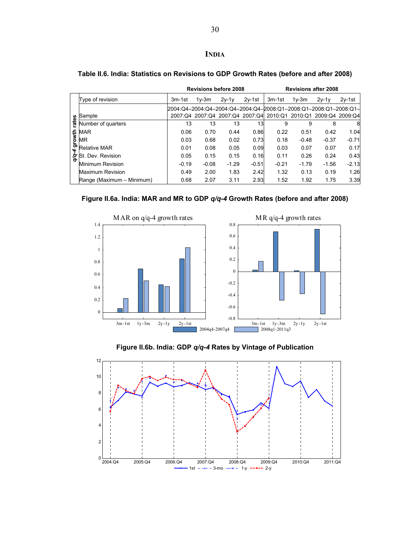## **INDIA**

|       |                                                              |                                                                   | <b>Revisions before 2008</b> |         |          |                                                                 |         | <b>Revisions after 2008</b> |          |
|-------|--------------------------------------------------------------|-------------------------------------------------------------------|------------------------------|---------|----------|-----------------------------------------------------------------|---------|-----------------------------|----------|
|       | Type of revision                                             | 3m-1st                                                            | $1v-3m$                      | $2v-1v$ | $2v-1st$ | 3m-1st                                                          | $1v-3m$ | $2v-1v$                     | $2v-1st$ |
|       |                                                              | l2004:Q4-2004:Q4-2004:Q4-2004:Q4-2008:Q1-2008:Q1-2008:Q1-2008:Q1- |                              |         |          |                                                                 |         |                             |          |
|       | Sample                                                       |                                                                   |                              |         |          | 2007:Q4 2007:Q4 2007:Q4 2007:Q4 2010:Q1 2010:Q1 2009:Q4 2009:Q4 |         |                             |          |
| rates | Number of quarters                                           | 13                                                                | 13                           | 13      | 13       | 9                                                               | 9       | 8                           | 8        |
|       |                                                              | 0.06                                                              | 0.70                         | 0.44    | 0.86     | 0.22                                                            | 0.51    | 0.42                        | 1.04     |
|       | $\frac{1}{2}$ MAR<br>$\frac{1}{2}$ MR<br>$\frac{1}{2}$ Relat | 0.03                                                              | 0.68                         | 0.02    | 0.73     | 0.18                                                            | $-0.48$ | $-0.37$                     | $-0.71$  |
| À     | <b>Relative MAR</b>                                          | 0.01                                                              | 0.08                         | 0.05    | 0.09     | 0.03                                                            | 0.07    | 0.07                        | 0.17     |
| δę.   | St. Dev. Revision                                            | 0.05                                                              | 0.15                         | 0.15    | 0.16     | 0.11                                                            | 0.26    | 0.24                        | 0.43     |
|       | <b>Minimum Revision</b>                                      | $-0.19$                                                           | $-0.08$                      | $-1.29$ | $-0.51$  | $-0.21$                                                         | $-1.79$ | $-1.56$                     | $-2.13$  |
|       | Maximum Revision                                             | 0.49                                                              | 2.00                         | 1.83    | 2.42     | 1.32                                                            | 0.13    | 0.19                        | 1.26     |
|       | Range (Maximum - Minimum)                                    | 0.68                                                              | 2.07                         | 3.11    | 2.93     | 1.52                                                            | 1.92    | 1.75                        | 3.39     |

## **Table II.6. India: Statistics on Revisions to GDP Growth Rates (before and after 2008)**









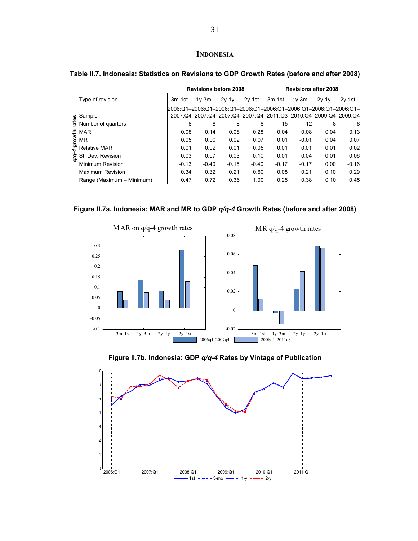## **INDONESIA**

|       |                                             |                                                                   | <b>Revisions before 2008</b> |         |          |                                                                 | <b>Revisions after 2008</b> |         |          |
|-------|---------------------------------------------|-------------------------------------------------------------------|------------------------------|---------|----------|-----------------------------------------------------------------|-----------------------------|---------|----------|
|       | Type of revision                            | 3m-1st                                                            | $1v-3m$                      | $2y-1y$ | $2v-1st$ | 3m-1st                                                          | $1v-3m$                     | $2v-1v$ | $2v-1st$ |
|       |                                             | I2006:Q1-2006:Q1-2006:Q1-2006:Q1-2006:Q1-2006:Q1-2006:Q1-2006:Q1- |                              |         |          |                                                                 |                             |         |          |
|       | Sample                                      |                                                                   |                              |         |          | 2007:Q4 2007:Q4 2007:Q4 2007:Q4 2011:Q3 2010:Q4 2009:Q4 2009:Q4 |                             |         |          |
| rates | Number of quarters                          | 8                                                                 | 8                            | 8       | 8        | 15                                                              | 12                          | 8       | 8        |
|       |                                             | 0.08                                                              | 0.14                         | 0.08    | 0.28     | 0.04                                                            | 0.08                        | 0.04    | 0.13     |
|       | te MAR<br>MR<br><b>b</b> MR<br>Relative MAR | 0.05                                                              | 0.00                         | 0.02    | 0.07     | 0.01                                                            | $-0.01$                     | 0.04    | 0.07     |
| 4     |                                             | 0.01                                                              | 0.02                         | 0.01    | 0.05     | 0.01                                                            | 0.01                        | 0.01    | 0.02     |
| Ş     | St. Dev. Revision                           | 0.03                                                              | 0.07                         | 0.03    | 0.10     | 0.01                                                            | 0.04                        | 0.01    | 0.06     |
|       | Minimum Revision                            | $-0.13$                                                           | $-0.40$                      | $-0.15$ | $-0.40$  | $-0.17$                                                         | $-0.17$                     | 0.00    | $-0.16$  |
|       | <b>Maximum Revision</b>                     | 0.34                                                              | 0.32                         | 0.21    | 0.60     | 0.08                                                            | 0.21                        | 0.10    | 0.29     |
|       | Range (Maximum - Minimum)                   | 0.47                                                              | 0.72                         | 0.36    | 1.00     | 0.25                                                            | 0.38                        | 0.10    | 0.45     |

## **Table II.7. Indonesia: Statistics on Revisions to GDP Growth Rates (before and after 2008)**







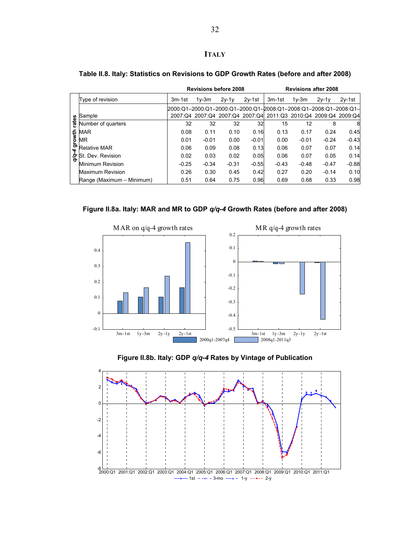# **ITALY**

|       |                                                              |                                                                   | <b>Revisions before 2008</b> |         |          | <b>Revisions after 2008</b>                                     |         |         |          |
|-------|--------------------------------------------------------------|-------------------------------------------------------------------|------------------------------|---------|----------|-----------------------------------------------------------------|---------|---------|----------|
|       | Type of revision                                             | 3m-1st                                                            | $1v-3m$                      | $2v-1v$ | $2v-1st$ | 3m-1st                                                          | $1v-3m$ | $2v-1v$ | $2v-1st$ |
|       |                                                              | l2000:Q1-2000:Q1-2000:Q1-2000:Q1-2008:Q1-2008:Q1-2008:Q1-2008:Q1- |                              |         |          |                                                                 |         |         |          |
|       | Sample                                                       |                                                                   |                              |         |          | 2007:Q4 2007:Q4 2007:Q4 2007:Q4 2011:Q3 2010:Q4 2009:Q4 2009:Q4 |         |         |          |
| rates | Number of quarters                                           | 32                                                                | 32                           | 32      | 32       | 15                                                              | 12      | 8       | 8        |
|       |                                                              | 0.08                                                              | 0.11                         | 0.10    | 0.16     | 0.13                                                            | 0.17    | 0.24    | 0.45     |
|       | $\frac{1}{2}$ MAR<br>$\frac{1}{2}$ MR<br>$\frac{1}{2}$ Relat | 0.01                                                              | $-0.01$                      | 0.00    | $-0.01$  | 0.00                                                            | $-0.01$ | $-0.24$ | $-0.43$  |
| Ţ     | <b>Relative MAR</b>                                          | 0.06                                                              | 0.09                         | 0.08    | 0.13     | 0.06                                                            | 0.07    | 0.07    | 0.14     |
| δé    | St. Dev. Revision                                            | 0.02                                                              | 0.03                         | 0.02    | 0.05     | 0.06                                                            | 0.07    | 0.05    | 0.14     |
|       | Minimum Revision                                             | $-0.25$                                                           | $-0.34$                      | $-0.31$ | $-0.55$  | $-0.43$                                                         | $-0.48$ | $-0.47$ | $-0.88$  |
|       | <b>Maximum Revision</b>                                      | 0.26                                                              | 0.30                         | 0.45    | 0.42     | 0.27                                                            | 0.20    | $-0.14$ | 0.10     |
|       | Range (Maximum – Minimum)                                    | 0.51                                                              | 0.64                         | 0.75    | 0.96     | 0.69                                                            | 0.68    | 0.33    | 0.98     |

## **Table II.8. Italy: Statistics on Revisions to GDP Growth Rates (before and after 2008)**







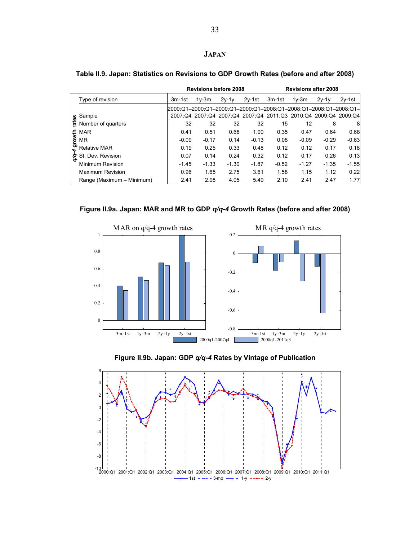## **JAPAN**

|        |                           |                                                                   | <b>Revisions before 2008</b> |         |          |                                                                 | <b>Revisions after 2008</b> |         |          |
|--------|---------------------------|-------------------------------------------------------------------|------------------------------|---------|----------|-----------------------------------------------------------------|-----------------------------|---------|----------|
|        | Type of revision          | 3m-1st                                                            | $1v-3m$                      | $2y-1y$ | $2v-1st$ | 3m-1st                                                          | $1v-3m$                     | $2v-1v$ | $2v-1st$ |
|        |                           | l2000:Q1-2000:Q1-2000:Q1-2000:Q1-2008:Q1-2008:Q1-2008:Q1-2008:Q1- |                              |         |          |                                                                 |                             |         |          |
|        | Sample                    |                                                                   |                              |         |          | 2007:Q4 2007:Q4 2007:Q4 2007:Q4 2011:Q3 2010:Q4 2009:Q4 2009:Q4 |                             |         |          |
| rates  | Number of quarters        | 32                                                                | 32                           | 32      | 32       | 15                                                              | 12                          | 8       | 8        |
|        | <b>MAR</b>                | 0.41                                                              | 0.51                         | 0.68    | 1.00     | 0.35                                                            | 0.47                        | 0.64    | 0.68     |
| growth | <b>MR</b>                 | $-0.09$                                                           | $-0.17$                      | 0.14    | $-0.13$  | 0.08                                                            | $-0.09$                     | $-0.29$ | $-0.63$  |
| 4      | <b>Relative MAR</b>       | 0.19                                                              | 0.25                         | 0.33    | 0.48     | 0.12                                                            | 0.12                        | 0.17    | 0.18     |
| δę.    | St. Dev. Revision         | 0.07                                                              | 0.14                         | 0.24    | 0.32     | 0.12                                                            | 0.17                        | 0.26    | 0.13     |
|        | <b>Minimum Revision</b>   | $-1.45$                                                           | $-1.33$                      | $-1.30$ | $-1.87$  | $-0.52$                                                         | $-1.27$                     | $-1.35$ | $-1.55$  |
|        | <b>Maximum Revision</b>   | 0.96                                                              | 1.65                         | 2.75    | 3.61     | 1.58                                                            | 1.15                        | 1.12    | 0.22     |
|        | Range (Maximum - Minimum) | 2.41                                                              | 2.98                         | 4.05    | 5.49     | 2.10                                                            | 2.41                        | 2.47    | 1.77     |

## **Table II.9. Japan: Statistics on Revisions to GDP Growth Rates (before and after 2008)**







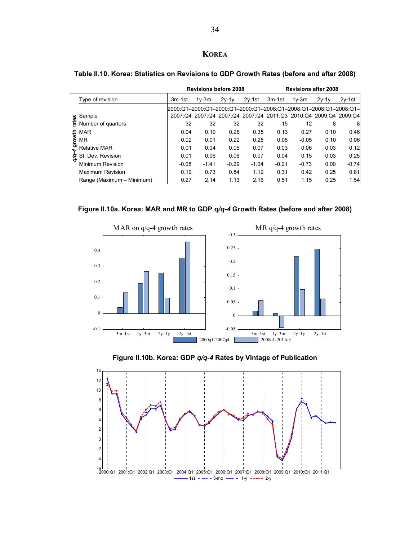## **KOREA**

|        |                           |                                                                    | <b>Revisions before 2008</b> |         |          | <b>Revisions after 2008</b> |                                                                 |         |          |
|--------|---------------------------|--------------------------------------------------------------------|------------------------------|---------|----------|-----------------------------|-----------------------------------------------------------------|---------|----------|
|        | Type of revision          | 3m-1st                                                             | $1v-3m$                      | $2v-1v$ | $2v-1st$ | 3m-1st                      | $1v-3m$                                                         | $2v-1v$ | $2v-1st$ |
|        |                           | l2000:Q1-2000:Q1-2000:Q1-2000:Q1-2008:Q1-2008:Q1-2008:Q1-2008:Q1-l |                              |         |          |                             |                                                                 |         |          |
|        | Sample                    |                                                                    |                              |         |          |                             | 2007:Q4 2007:Q4 2007:Q4 2007:Q4 2011:Q3 2010:Q4 2009:Q4 2009:Q4 |         |          |
| rates  | Number of quarters        | 32                                                                 | 32                           | 32      | 32       | 15                          | 12                                                              | 8       | 8        |
|        | MAR                       | 0.04                                                               | 0.19                         | 0.26    | 0.35     | 0.13                        | 0.27                                                            | 0.10    | 0.46     |
| growth | MR                        | 0.02                                                               | 0.01                         | 0.22    | 0.25     | 0.06                        | $-0.05$                                                         | 0.10    | 0.06     |
| 4      | <b>Relative MAR</b>       | 0.01                                                               | 0.04                         | 0.05    | 0.07     | 0.03                        | 0.06                                                            | 0.03    | 0.12     |
| Ş      | 'St. Dev. Revision        | 0.01                                                               | 0.06                         | 0.06    | 0.07     | 0.04                        | 0.15                                                            | 0.03    | 0.25     |
|        | Minimum Revision          | $-0.08$                                                            | $-1.41$                      | $-0.29$ | $-1.04$  | $-0.21$                     | $-0.73$                                                         | 0.00    | $-0.74$  |
|        | Maximum Revision          | 0.19                                                               | 0.73                         | 0.84    | 1.12     | 0.31                        | 0.42                                                            | 0.25    | 0.81     |
|        | Range (Maximum - Minimum) | 0.27                                                               | 2.14                         | 1.13    | 2.16     | 0.51                        | 1.15                                                            | 0.25    | 1.54     |

## **Table II.10. Korea: Statistics on Revisions to GDP Growth Rates (before and after 2008)**







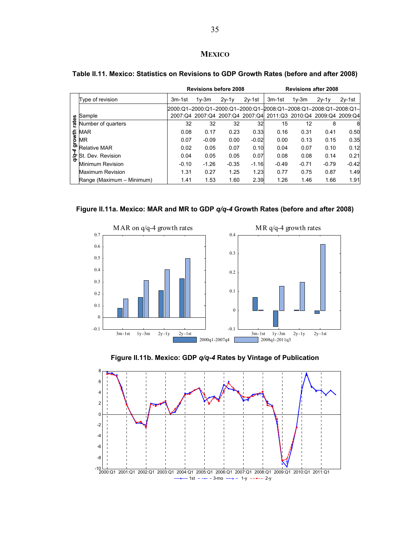## **MEXICO**

|        |                           |                                                                   | <b>Revisions before 2008</b> |         |          | <b>Revisions after 2008</b>                                     |         |         |          |
|--------|---------------------------|-------------------------------------------------------------------|------------------------------|---------|----------|-----------------------------------------------------------------|---------|---------|----------|
|        | Type of revision          | 3m-1st                                                            | $1v-3m$                      | $2v-1v$ | $2v-1st$ | 3m-1st                                                          | $1v-3m$ | $2v-1v$ | $2v-1st$ |
|        |                           | l2000:Q1-2000:Q1-2000:Q1-2000:Q1-2008:Q1-2008:Q1-2008:Q1-2008:Q1- |                              |         |          |                                                                 |         |         |          |
|        | Sample                    |                                                                   |                              |         |          | 2007:Q4 2007:Q4 2007:Q4 2007:Q4 2011:Q3 2010:Q4 2009:Q4 2009:Q4 |         |         |          |
| rates  | Number of quarters        | 32                                                                | 32                           | 32      | 32       | 15                                                              | 12      | 8       | 8        |
|        | <b>MAR</b>                | 0.08                                                              | 0.17                         | 0.23    | 0.33     | 0.16                                                            | 0.31    | 0.41    | 0.50     |
| growth | MR                        | 0.07                                                              | $-0.09$                      | 0.00    | $-0.02$  | 0.00                                                            | 0.13    | 0.15    | 0.35     |
| 4      | <b>Relative MAR</b>       | 0.02                                                              | 0.05                         | 0.07    | 0.10     | 0.04                                                            | 0.07    | 0.10    | 0.12     |
| Ş      | St. Dev. Revision         | 0.04                                                              | 0.05                         | 0.05    | 0.07     | 0.08                                                            | 0.08    | 0.14    | 0.21     |
|        | <b>Minimum Revision</b>   | $-0.10$                                                           | $-1.26$                      | $-0.35$ | $-1.16$  | $-0.49$                                                         | $-0.71$ | $-0.79$ | $-0.42$  |
|        | Maximum Revision          | 1.31                                                              | 0.27                         | 1.25    | 1.23     | 0.77                                                            | 0.75    | 0.87    | 1.49     |
|        | Range (Maximum - Minimum) | 1.41                                                              | 1.53                         | 1.60    | 2.39     | 1.26                                                            | 1.46    | 1.66    | 1.91     |

## **Table II.11. Mexico: Statistics on Revisions to GDP Growth Rates (before and after 2008)**







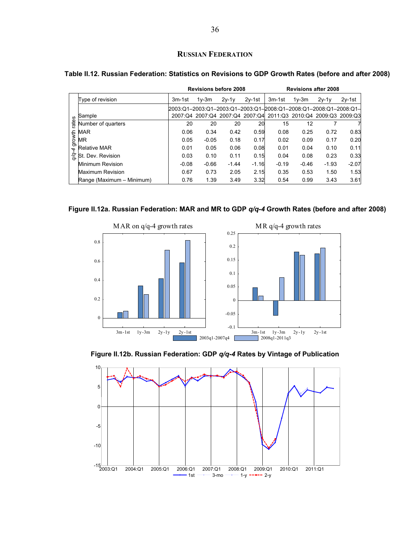## **RUSSIAN FEDERATION**

|        |                           |                                                                    | <b>Revisions before 2008</b> |         |          |                                                                 | <b>Revisions after 2008</b> |         |          |
|--------|---------------------------|--------------------------------------------------------------------|------------------------------|---------|----------|-----------------------------------------------------------------|-----------------------------|---------|----------|
|        | Type of revision          | 3m-1st                                                             | $1v-3m$                      | $2v-1v$ | $2v-1st$ | 3m-1st                                                          | $1v-3m$                     | $2v-1v$ | $2v-1st$ |
|        |                           | l2003:Q1-2003:Q1-2003:Q1-2003:Q1-l2008:Q1-2008:Q1-2008:Q1-2008:Q1- |                              |         |          |                                                                 |                             |         |          |
|        | Sample                    |                                                                    |                              |         |          | 2007:Q4 2007:Q4 2007:Q4 2007:Q4 2011:Q3 2010:Q4 2009:Q3 2009:Q3 |                             |         |          |
| ates   | Number of quarters        | 20                                                                 | 20                           | 20      | 20       | 15                                                              | 12                          |         |          |
|        | MAR                       | 0.06                                                               | 0.34                         | 0.42    | 0.59     | 0.08                                                            | 0.25                        | 0.72    | 0.83     |
| growth | ΜR                        | 0.05                                                               | $-0.05$                      | 0.18    | 0.17     | 0.02                                                            | 0.09                        | 0.17    | 0.20     |
| 4      | Relative MAR              | 0.01                                                               | 0.05                         | 0.06    | 0.08     | 0.01                                                            | 0.04                        | 0.10    | 0.11     |
| ήç     | St. Dev. Revision         | 0.03                                                               | 0.10                         | 0.11    | 0.15     | 0.04                                                            | 0.08                        | 0.23    | 0.33     |
|        | Minimum Revision          | $-0.08$                                                            | $-0.66$                      | $-1.44$ | $-1.16$  | $-0.19$                                                         | $-0.46$                     | $-1.93$ | $-2.07$  |
|        | Maximum Revision          | 0.67                                                               | 0.73                         | 2.05    | 2.15     | 0.35                                                            | 0.53                        | 1.50    | 1.53     |
|        | Range (Maximum - Minimum) | 0.76                                                               | 1.39                         | 3.49    | 3.32     | 0.54                                                            | 0.99                        | 3.43    | 3.61     |

## **Table II.12. Russian Federation: Statistics on Revisions to GDP Growth Rates (before and after 2008)**







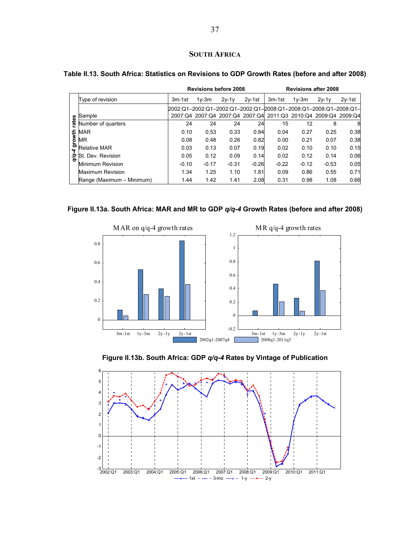## **SOUTH AFRICA**

|        |                           |                                                                   | <b>Revisions before 2008</b>                                    |         |          |         |         | <b>Revisions after 2008</b> |          |
|--------|---------------------------|-------------------------------------------------------------------|-----------------------------------------------------------------|---------|----------|---------|---------|-----------------------------|----------|
|        | Type of revision          | 3m-1st                                                            | $1v-3m$                                                         | $2v-1v$ | $2v-1st$ | 3m-1st  | $1v-3m$ | $2v-1v$                     | $2v-1st$ |
|        |                           | l2002:Q1-2002:Q1-2002:Q1-2002:Q1-2008:Q1-2008:Q1-2008:Q1-2008:Q1- |                                                                 |         |          |         |         |                             |          |
| 8      | Sample                    |                                                                   | 2007:Q4 2007:Q4 2007:Q4 2007:Q4 2011:Q3 2010:Q4 2009:Q4 2009:Q4 |         |          |         |         |                             |          |
| ਫ਼ਿ    | Number of quarters        | 24                                                                | 24                                                              | 24      | 24       | 15      | 12      | 8                           | 8        |
|        | <b>MAR</b>                | 0.10                                                              | 0.53                                                            | 0.33    | 0.84     | 0.04    | 0.27    | 0.25                        | 0.38     |
| growth | ΜR                        | 0.08                                                              | 0.48                                                            | 0.26    | 0.82     | 0.00    | 0.21    | 0.07                        | 0.38     |
| 4      | Relative MAR              | 0.03                                                              | 0.13                                                            | 0.07    | 0.19     | 0.02    | 0.10    | 0.10                        | 0.15     |
| Ş      | St. Dev. Revision         | 0.05                                                              | 0.12                                                            | 0.09    | 0.14     | 0.02    | 0.12    | 0.14                        | 0.06     |
|        | Minimum Revision          | $-0.10$                                                           | $-0.17$                                                         | $-0.31$ | $-0.26$  | $-0.22$ | $-0.12$ | $-0.53$                     | 0.05     |
|        | Maximum Revision          | 1.34                                                              | 1.25                                                            | 1.10    | 1.81     | 0.09    | 0.86    | 0.55                        | 0.71     |
|        | Range (Maximum - Minimum) | 1.44                                                              | 1.42                                                            | 1.41    | 2.08     | 0.31    | 0.98    | 1.08                        | 0.66     |

## **Table II.13. South Africa: Statistics on Revisions to GDP Growth Rates (before and after 2008)**









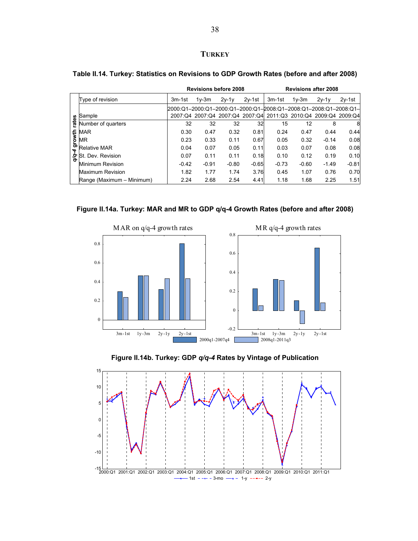## **TURKEY**

|                         |                                                              |                                                                   | <b>Revisions before 2008</b> |         |          | <b>Revisions after 2008</b>                                     |         |         |          |
|-------------------------|--------------------------------------------------------------|-------------------------------------------------------------------|------------------------------|---------|----------|-----------------------------------------------------------------|---------|---------|----------|
|                         | Type of revision                                             | 3m-1st                                                            | $1v-3m$                      | $2y-1y$ | $2v-1st$ | 3m-1st                                                          | $1v-3m$ | $2v-1v$ | $2v-1st$ |
|                         |                                                              | l2000:Q1-2000:Q1-2000:Q1-2000:Q1-2008:Q1-2008:Q1-2008:Q1-2008:Q1- |                              |         |          |                                                                 |         |         |          |
|                         | Sample                                                       |                                                                   |                              |         |          | 2007:Q4 2007:Q4 2007:Q4 2007:Q4 2011:Q3 2010:Q4 2009:Q4 2009:Q4 |         |         |          |
| rates                   | Number of quarters                                           | 32                                                                | 32                           | 32      | 32       | 15                                                              | 12      | 8       | 8        |
|                         |                                                              | 0.30                                                              | 0.47                         | 0.32    | 0.81     | 0.24                                                            | 0.47    | 0.44    | 0.44     |
|                         | $\frac{1}{2}$ MAR<br>$\frac{1}{2}$ MR<br>$\frac{1}{2}$ Relat | 0.23                                                              | 0.33                         | 0.11    | 0.67     | 0.05                                                            | 0.32    | $-0.14$ | 0.08     |
| $\overline{\mathbf{r}}$ | <b>Relative MAR</b>                                          | 0.04                                                              | 0.07                         | 0.05    | 0.11     | 0.03                                                            | 0.07    | 0.08    | 0.08     |
| Ş                       | St. Dev. Revision                                            | 0.07                                                              | 0.11                         | 0.11    | 0.18     | 0.10                                                            | 0.12    | 0.19    | 0.10     |
|                         | <b>Minimum Revision</b>                                      | $-0.42$                                                           | $-0.91$                      | $-0.80$ | $-0.65$  | $-0.73$                                                         | $-0.60$ | $-1.49$ | $-0.81$  |
|                         | Maximum Revision                                             | 1.82                                                              | 1.77                         | 1.74    | 3.76     | 0.45                                                            | 1.07    | 0.76    | 0.70     |
|                         | Range (Maximum - Minimum)                                    | 2.24                                                              | 2.68                         | 2.54    | 4.41     | 1.18                                                            | 1.68    | 2.25    | 1.51     |

## **Table II.14. Turkey: Statistics on Revisions to GDP Growth Rates (before and after 2008)**









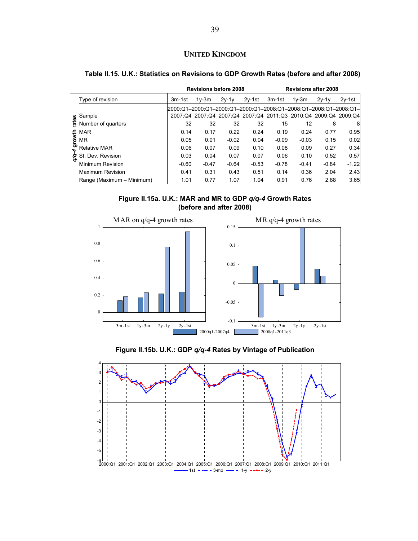## **UNITED KINGDOM**

|                          |                                                              |                                                                   | <b>Revisions before 2008</b> |         |          |                                                                 | <b>Revisions after 2008</b> |         |          |
|--------------------------|--------------------------------------------------------------|-------------------------------------------------------------------|------------------------------|---------|----------|-----------------------------------------------------------------|-----------------------------|---------|----------|
|                          | Type of revision                                             | 3m-1st                                                            | $1v-3m$                      | $2v-1v$ | $2v-1st$ | 3m-1st                                                          | $1v-3m$                     | $2v-1v$ | $2v-1st$ |
|                          | Sample                                                       | l2000:Q1-2000:Q1-2000:Q1-2000:Q1-2008:Q1-2008:Q1-2008:Q1-2008:Q1- |                              |         |          | 2007:Q4 2007:Q4 2007:Q4 2007:Q4 2011:Q3 2010:Q4 2009:Q4 2009:Q4 |                             |         |          |
| rates                    | Number of quarters                                           | 32                                                                | 32                           | 32      | 32       | 15                                                              | 12                          | 8       | 8        |
|                          |                                                              | 0.14                                                              | 0.17                         | 0.22    | 0.24     | 0.19                                                            | 0.24                        | 0.77    | 0.95     |
|                          | $\frac{1}{2}$ MAR<br>$\frac{1}{2}$ MR<br>$\frac{1}{2}$ Relat | 0.05                                                              | 0.01                         | $-0.02$ | 0.04     | $-0.09$                                                         | $-0.03$                     | 0.15    | 0.02     |
| $\overline{\phantom{a}}$ | <b>Relative MAR</b>                                          | 0.06                                                              | 0.07                         | 0.09    | 0.10     | 0.08                                                            | 0.09                        | 0.27    | 0.34     |
| δ,                       | St. Dev. Revision                                            | 0.03                                                              | 0.04                         | 0.07    | 0.07     | 0.06                                                            | 0.10                        | 0.52    | 0.57     |
|                          | Minimum Revision                                             | $-0.60$                                                           | $-0.47$                      | $-0.64$ | $-0.53$  | $-0.78$                                                         | $-0.41$                     | $-0.84$ | $-1.22$  |
|                          | Maximum Revision                                             | 0.41                                                              | 0.31                         | 0.43    | 0.51     | 0.14                                                            | 0.36                        | 2.04    | 2.43     |
|                          | Range (Maximum - Minimum)                                    | 1.01                                                              | 0.77                         | 1.07    | 1.04     | 0.91                                                            | 0.76                        | 2.88    | 3.65     |

## **Table II.15. U.K.: Statistics on Revisions to GDP Growth Rates (before and after 2008)**







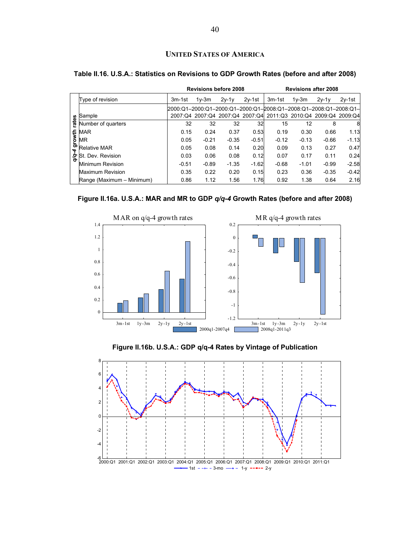## **UNITED STATES OF AMERICA**

|                         |                           |                                                                   | <b>Revisions before 2008</b> |         |          | <b>Revisions after 2008</b>                                     |         |         |          |
|-------------------------|---------------------------|-------------------------------------------------------------------|------------------------------|---------|----------|-----------------------------------------------------------------|---------|---------|----------|
|                         | Type of revision          | 3m-1st                                                            | $1v-3m$                      | $2v-1v$ | $2v-1st$ | 3m-1st                                                          | $1v-3m$ | $2v-1v$ | $2v-1st$ |
|                         |                           | l2000:Q1-2000:Q1-2000:Q1-2000:Q1-2008:Q1-2008:Q1-2008:Q1-2008:Q1- |                              |         |          |                                                                 |         |         |          |
|                         | Sample                    |                                                                   |                              |         |          | 2007:Q4 2007:Q4 2007:Q4 2007:Q4 2011:Q3 2010:Q4 2009:Q4 2009:Q4 |         |         |          |
| rates                   | Number of quarters        | 32                                                                | 32                           | 32      | 32       | 15                                                              | 12      | 8       | 8        |
|                         | MAR                       | 0.15                                                              | 0.24                         | 0.37    | 0.53     | 0.19                                                            | 0.30    | 0.66    | 1.13     |
| growth                  | MR                        | 0.05                                                              | $-0.21$                      | $-0.35$ | $-0.51$  | $-0.12$                                                         | $-0.13$ | $-0.66$ | $-1.13$  |
| $\overline{\mathbf{r}}$ | <b>Relative MAR</b>       | 0.05                                                              | 0.08                         | 0.14    | 0.20     | 0.09                                                            | 0.13    | 0.27    | 0.47     |
| δę.                     | St. Dev. Revision         | 0.03                                                              | 0.06                         | 0.08    | 0.12     | 0.07                                                            | 0.17    | 0.11    | 0.24     |
|                         | Minimum Revision          | $-0.51$                                                           | $-0.89$                      | $-1.35$ | $-1.62$  | $-0.68$                                                         | $-1.01$ | $-0.99$ | $-2.58$  |
|                         | Maximum Revision          | 0.35                                                              | 0.22                         | 0.20    | 0.15     | 0.23                                                            | 0.36    | $-0.35$ | $-0.42$  |
|                         | Range (Maximum - Minimum) | 0.86                                                              | 1.12                         | 1.56    | 1.76     | 0.92                                                            | 1.38    | 0.64    | 2.16     |

## **Table II.16. U.S.A.: Statistics on Revisions to GDP Growth Rates (before and after 2008)**







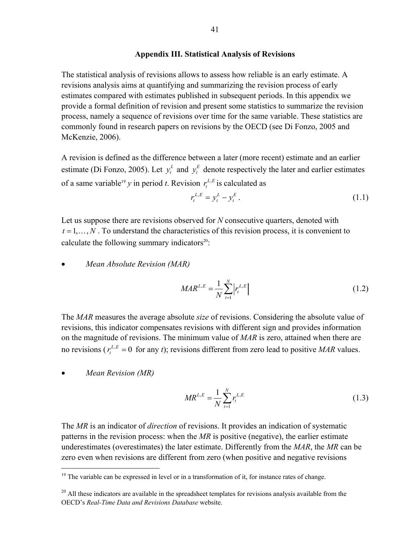## **Appendix III. Statistical Analysis of Revisions**

The statistical analysis of revisions allows to assess how reliable is an early estimate. A revisions analysis aims at quantifying and summarizing the revision process of early estimates compared with estimates published in subsequent periods. In this appendix we provide a formal definition of revision and present some statistics to summarize the revision process, namely a sequence of revisions over time for the same variable. These statistics are commonly found in research papers on revisions by the OECD (see Di Fonzo, 2005 and McKenzie, 2006).

A revision is defined as the difference between a later (more recent) estimate and an earlier estimate (Di Fonzo, 2005). Let  $y_t^L$  and  $y_t^E$  denote respectively the later and earlier estimates of a same variable<sup>19</sup> *y* in period *t*. Revision  $r_t^{L,E}$  is calculated as

$$
r_t^{L,E} = y_t^L - y_t^E. \tag{1.1}
$$

Let us suppose there are revisions observed for *N* consecutive quarters, denoted with  $t = 1, \ldots, N$ . To understand the characteristics of this revision process, it is convenient to calculate the following summary indicators $20$ :

## • *Mean Absolute Revision (MAR)*

$$
MAR^{L,E} = \frac{1}{N} \sum_{t=1}^{N} \left| r_t^{L,E} \right| \tag{1.2}
$$

The *MAR* measures the average absolute *size* of revisions. Considering the absolute value of revisions, this indicator compensates revisions with different sign and provides information on the magnitude of revisions. The minimum value of *MAR* is zero, attained when there are no revisions ( $r_t^{L,E} = 0$  for any *t*); revisions different from zero lead to positive *MAR* values.

• *Mean Revision (MR)* 

 $\overline{a}$ 

$$
MR^{L,E} = \frac{1}{N} \sum_{t=1}^{N} r_t^{L,E}
$$
\n(1.3)

The *MR* is an indicator of *direction* of revisions. It provides an indication of systematic patterns in the revision process: when the *MR* is positive (negative), the earlier estimate underestimates (overestimates) the later estimate. Differently from the *MAR*, the *MR* can be zero even when revisions are different from zero (when positive and negative revisions

 $19$  The variable can be expressed in level or in a transformation of it, for instance rates of change.

 $20$  All these indicators are available in the spreadsheet templates for revisions analysis available from the OECD's *Real-Time Data and Revisions Database* website.